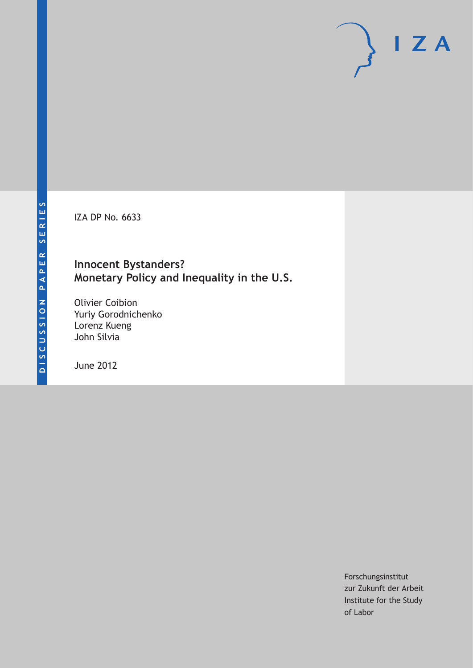IZA DP No. 6633

# **Innocent Bystanders? Monetary Policy and Inequality in the U.S.**

Olivier Coibion Yuriy Gorodnichenko Lorenz Kueng John Silvia

June 2012

Forschungsinstitut zur Zukunft der Arbeit Institute for the Study of Labor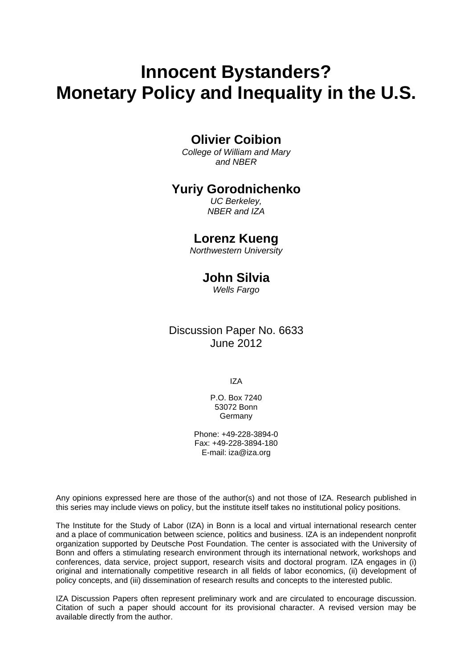# **Innocent Bystanders? Monetary Policy and Inequality in the U.S.**

# **Olivier Coibion**

*College of William and Mary and NBER* 

## **Yuriy Gorodnichenko**

*UC Berkeley, NBER and IZA* 

### **Lorenz Kueng**

*Northwestern University* 

# **John Silvia**

*Wells Fargo* 

Discussion Paper No. 6633 June 2012

IZA

P.O. Box 7240 53072 Bonn Germany

Phone: +49-228-3894-0 Fax: +49-228-3894-180 E-mail: [iza@iza.org](mailto:iza@iza.org)

Any opinions expressed here are those of the author(s) and not those of IZA. Research published in this series may include views on policy, but the institute itself takes no institutional policy positions.

The Institute for the Study of Labor (IZA) in Bonn is a local and virtual international research center and a place of communication between science, politics and business. IZA is an independent nonprofit organization supported by Deutsche Post Foundation. The center is associated with the University of Bonn and offers a stimulating research environment through its international network, workshops and conferences, data service, project support, research visits and doctoral program. IZA engages in (i) original and internationally competitive research in all fields of labor economics, (ii) development of policy concepts, and (iii) dissemination of research results and concepts to the interested public.

IZA Discussion Papers often represent preliminary work and are circulated to encourage discussion. Citation of such a paper should account for its provisional character. A revised version may be available directly from the author.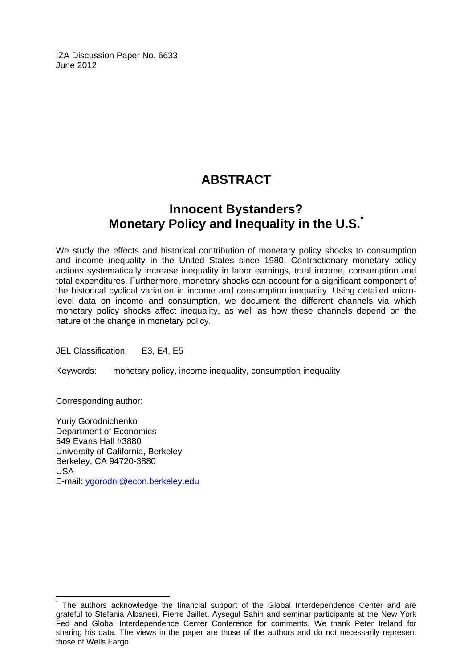IZA Discussion Paper No. 6633 June 2012

# **ABSTRACT**

# **Innocent Bystanders? Monetary Policy and Inequality in the U.S.[\\*](#page-2-0)**

We study the effects and historical contribution of monetary policy shocks to consumption and income inequality in the United States since 1980. Contractionary monetary policy actions systematically increase inequality in labor earnings, total income, consumption and total expenditures. Furthermore, monetary shocks can account for a significant component of the historical cyclical variation in income and consumption inequality. Using detailed microlevel data on income and consumption, we document the different channels via which monetary policy shocks affect inequality, as well as how these channels depend on the nature of the change in monetary policy.

JEL Classification: E3, E4, E5

Keywords: monetary policy, income inequality, consumption inequality

Corresponding author:

 $\overline{a}$ 

Yuriy Gorodnichenko Department of Economics 549 Evans Hall #3880 University of California, Berkeley Berkeley, CA 94720-3880 USA E-mail: [ygorodni@econ.berkeley.edu](mailto:ygorodni@econ.berkeley.edu)

<span id="page-2-0"></span><sup>\*</sup> The authors acknowledge the financial support of the Global Interdependence Center and are grateful to Stefania Albanesi, Pierre Jaillet, Aysegul Sahin and seminar participants at the New York Fed and Global Interdependence Center Conference for comments. We thank Peter Ireland for sharing his data. The views in the paper are those of the authors and do not necessarily represent those of Wells Fargo.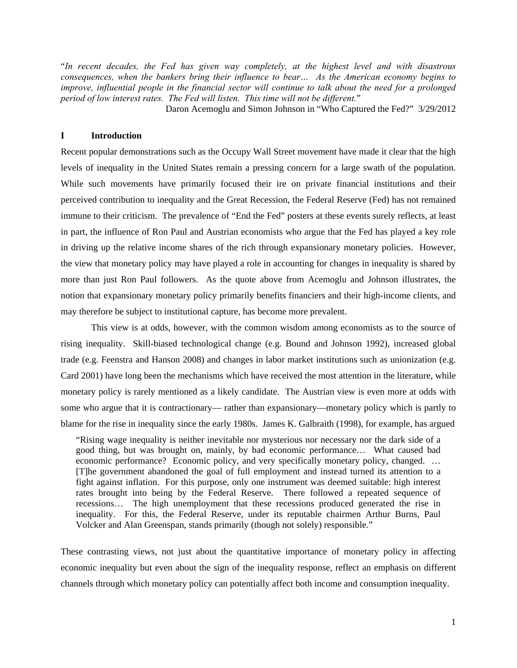"*In recent decades, the Fed has given way completely, at the highest level and with disastrous consequences, when the bankers bring their influence to bear… As the American economy begins to improve, influential people in the financial sector will continue to talk about the need for a prolonged period of low interest rates. The Fed will listen. This time will not be different.*"

Daron Acemoglu and Simon Johnson in "Who Captured the Fed?" 3/29/2012

#### **I Introduction**

Recent popular demonstrations such as the Occupy Wall Street movement have made it clear that the high levels of inequality in the United States remain a pressing concern for a large swath of the population. While such movements have primarily focused their ire on private financial institutions and their perceived contribution to inequality and the Great Recession, the Federal Reserve (Fed) has not remained immune to their criticism. The prevalence of "End the Fed" posters at these events surely reflects, at least in part, the influence of Ron Paul and Austrian economists who argue that the Fed has played a key role in driving up the relative income shares of the rich through expansionary monetary policies. However, the view that monetary policy may have played a role in accounting for changes in inequality is shared by more than just Ron Paul followers. As the quote above from Acemoglu and Johnson illustrates, the notion that expansionary monetary policy primarily benefits financiers and their high-income clients, and may therefore be subject to institutional capture, has become more prevalent.

 This view is at odds, however, with the common wisdom among economists as to the source of rising inequality. Skill-biased technological change (e.g. Bound and Johnson 1992), increased global trade (e.g. Feenstra and Hanson 2008) and changes in labor market institutions such as unionization (e.g. Card 2001) have long been the mechanisms which have received the most attention in the literature, while monetary policy is rarely mentioned as a likely candidate. The Austrian view is even more at odds with some who argue that it is contractionary— rather than expansionary—monetary policy which is partly to blame for the rise in inequality since the early 1980s. James K. Galbraith (1998), for example, has argued

"Rising wage inequality is neither inevitable nor mysterious nor necessary nor the dark side of a good thing, but was brought on, mainly, by bad economic performance… What caused bad economic performance? Economic policy, and very specifically monetary policy, changed. … [T]he government abandoned the goal of full employment and instead turned its attention to a fight against inflation. For this purpose, only one instrument was deemed suitable: high interest rates brought into being by the Federal Reserve. There followed a repeated sequence of recessions… The high unemployment that these recessions produced generated the rise in inequality. For this, the Federal Reserve, under its reputable chairmen Arthur Burns, Paul Volcker and Alan Greenspan, stands primarily (though not solely) responsible."

These contrasting views, not just about the quantitative importance of monetary policy in affecting economic inequality but even about the sign of the inequality response, reflect an emphasis on different channels through which monetary policy can potentially affect both income and consumption inequality.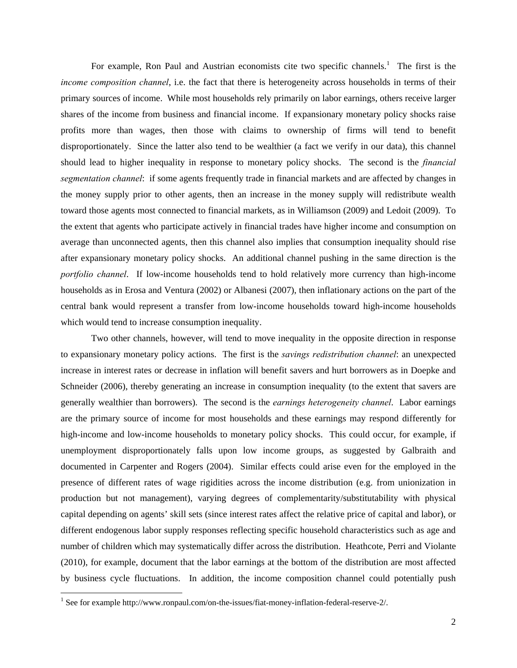For example, Ron Paul and Austrian economists cite two specific channels.<sup>1</sup> The first is the *income composition channel*, i.e. the fact that there is heterogeneity across households in terms of their primary sources of income. While most households rely primarily on labor earnings, others receive larger shares of the income from business and financial income. If expansionary monetary policy shocks raise profits more than wages, then those with claims to ownership of firms will tend to benefit disproportionately. Since the latter also tend to be wealthier (a fact we verify in our data), this channel should lead to higher inequality in response to monetary policy shocks. The second is the *financial segmentation channel*: if some agents frequently trade in financial markets and are affected by changes in the money supply prior to other agents, then an increase in the money supply will redistribute wealth toward those agents most connected to financial markets, as in Williamson (2009) and Ledoit (2009). To the extent that agents who participate actively in financial trades have higher income and consumption on average than unconnected agents, then this channel also implies that consumption inequality should rise after expansionary monetary policy shocks. An additional channel pushing in the same direction is the *portfolio channel*. If low-income households tend to hold relatively more currency than high-income households as in Erosa and Ventura (2002) or Albanesi (2007), then inflationary actions on the part of the central bank would represent a transfer from low-income households toward high-income households which would tend to increase consumption inequality.

Two other channels, however, will tend to move inequality in the opposite direction in response to expansionary monetary policy actions. The first is the *savings redistribution channel*: an unexpected increase in interest rates or decrease in inflation will benefit savers and hurt borrowers as in Doepke and Schneider (2006), thereby generating an increase in consumption inequality (to the extent that savers are generally wealthier than borrowers). The second is the *earnings heterogeneity channel*. Labor earnings are the primary source of income for most households and these earnings may respond differently for high-income and low-income households to monetary policy shocks. This could occur, for example, if unemployment disproportionately falls upon low income groups, as suggested by Galbraith and documented in Carpenter and Rogers (2004). Similar effects could arise even for the employed in the presence of different rates of wage rigidities across the income distribution (e.g. from unionization in production but not management), varying degrees of complementarity/substitutability with physical capital depending on agents' skill sets (since interest rates affect the relative price of capital and labor), or different endogenous labor supply responses reflecting specific household characteristics such as age and number of children which may systematically differ across the distribution. Heathcote, Perri and Violante (2010), for example, document that the labor earnings at the bottom of the distribution are most affected by business cycle fluctuations. In addition, the income composition channel could potentially push

<sup>&</sup>lt;sup>1</sup> See for example http://www.ronpaul.com/on-the-issues/fiat-money-inflation-federal-reserve-2/.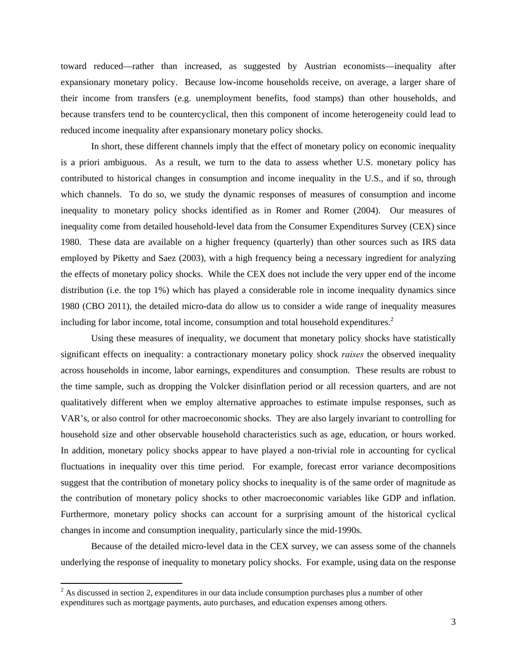toward reduced—rather than increased, as suggested by Austrian economists—inequality after expansionary monetary policy. Because low-income households receive, on average, a larger share of their income from transfers (e.g. unemployment benefits, food stamps) than other households, and because transfers tend to be countercyclical, then this component of income heterogeneity could lead to reduced income inequality after expansionary monetary policy shocks.

 In short, these different channels imply that the effect of monetary policy on economic inequality is a priori ambiguous. As a result, we turn to the data to assess whether U.S. monetary policy has contributed to historical changes in consumption and income inequality in the U.S., and if so, through which channels. To do so, we study the dynamic responses of measures of consumption and income inequality to monetary policy shocks identified as in Romer and Romer (2004). Our measures of inequality come from detailed household-level data from the Consumer Expenditures Survey (CEX) since 1980. These data are available on a higher frequency (quarterly) than other sources such as IRS data employed by Piketty and Saez (2003), with a high frequency being a necessary ingredient for analyzing the effects of monetary policy shocks. While the CEX does not include the very upper end of the income distribution (i.e. the top 1%) which has played a considerable role in income inequality dynamics since 1980 (CBO 2011), the detailed micro-data do allow us to consider a wide range of inequality measures including for labor income, total income, consumption and total household expenditures. $2$ 

Using these measures of inequality, we document that monetary policy shocks have statistically significant effects on inequality: a contractionary monetary policy shock *raises* the observed inequality across households in income, labor earnings, expenditures and consumption. These results are robust to the time sample, such as dropping the Volcker disinflation period or all recession quarters, and are not qualitatively different when we employ alternative approaches to estimate impulse responses, such as VAR's, or also control for other macroeconomic shocks. They are also largely invariant to controlling for household size and other observable household characteristics such as age, education, or hours worked. In addition, monetary policy shocks appear to have played a non-trivial role in accounting for cyclical fluctuations in inequality over this time period. For example, forecast error variance decompositions suggest that the contribution of monetary policy shocks to inequality is of the same order of magnitude as the contribution of monetary policy shocks to other macroeconomic variables like GDP and inflation. Furthermore, monetary policy shocks can account for a surprising amount of the historical cyclical changes in income and consumption inequality, particularly since the mid-1990s.

Because of the detailed micro-level data in the CEX survey, we can assess some of the channels underlying the response of inequality to monetary policy shocks. For example, using data on the response

 $2^2$  As discussed in section 2, expenditures in our data include consumption purchases plus a number of other expenditures such as mortgage payments, auto purchases, and education expenses among others.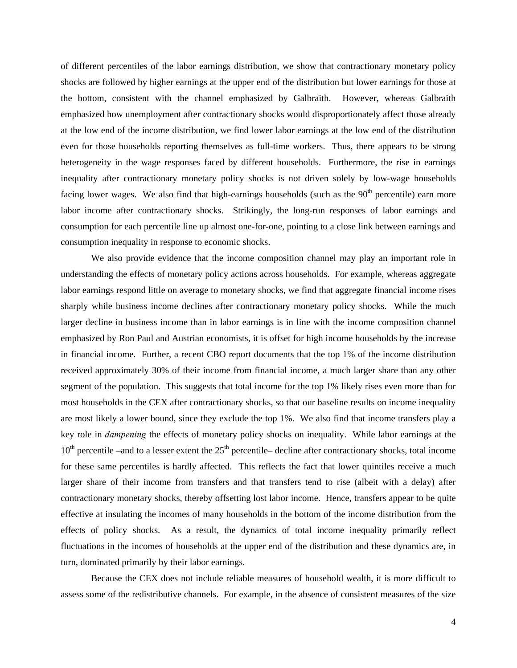of different percentiles of the labor earnings distribution, we show that contractionary monetary policy shocks are followed by higher earnings at the upper end of the distribution but lower earnings for those at the bottom, consistent with the channel emphasized by Galbraith. However, whereas Galbraith emphasized how unemployment after contractionary shocks would disproportionately affect those already at the low end of the income distribution, we find lower labor earnings at the low end of the distribution even for those households reporting themselves as full-time workers. Thus, there appears to be strong heterogeneity in the wage responses faced by different households. Furthermore, the rise in earnings inequality after contractionary monetary policy shocks is not driven solely by low-wage households facing lower wages. We also find that high-earnings households (such as the  $90<sup>th</sup>$  percentile) earn more labor income after contractionary shocks. Strikingly, the long-run responses of labor earnings and consumption for each percentile line up almost one-for-one, pointing to a close link between earnings and consumption inequality in response to economic shocks.

We also provide evidence that the income composition channel may play an important role in understanding the effects of monetary policy actions across households. For example, whereas aggregate labor earnings respond little on average to monetary shocks, we find that aggregate financial income rises sharply while business income declines after contractionary monetary policy shocks. While the much larger decline in business income than in labor earnings is in line with the income composition channel emphasized by Ron Paul and Austrian economists, it is offset for high income households by the increase in financial income. Further, a recent CBO report documents that the top 1% of the income distribution received approximately 30% of their income from financial income, a much larger share than any other segment of the population. This suggests that total income for the top 1% likely rises even more than for most households in the CEX after contractionary shocks, so that our baseline results on income inequality are most likely a lower bound, since they exclude the top 1%. We also find that income transfers play a key role in *dampening* the effects of monetary policy shocks on inequality. While labor earnings at the  $10<sup>th</sup>$  percentile –and to a lesser extent the  $25<sup>th</sup>$  percentile– decline after contractionary shocks, total income for these same percentiles is hardly affected. This reflects the fact that lower quintiles receive a much larger share of their income from transfers and that transfers tend to rise (albeit with a delay) after contractionary monetary shocks, thereby offsetting lost labor income. Hence, transfers appear to be quite effective at insulating the incomes of many households in the bottom of the income distribution from the effects of policy shocks. As a result, the dynamics of total income inequality primarily reflect fluctuations in the incomes of households at the upper end of the distribution and these dynamics are, in turn, dominated primarily by their labor earnings.

Because the CEX does not include reliable measures of household wealth, it is more difficult to assess some of the redistributive channels. For example, in the absence of consistent measures of the size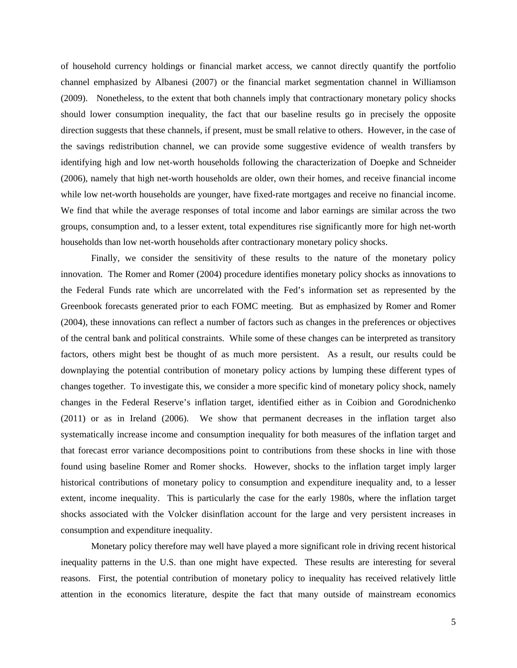of household currency holdings or financial market access, we cannot directly quantify the portfolio channel emphasized by Albanesi (2007) or the financial market segmentation channel in Williamson (2009). Nonetheless, to the extent that both channels imply that contractionary monetary policy shocks should lower consumption inequality, the fact that our baseline results go in precisely the opposite direction suggests that these channels, if present, must be small relative to others. However, in the case of the savings redistribution channel, we can provide some suggestive evidence of wealth transfers by identifying high and low net-worth households following the characterization of Doepke and Schneider (2006), namely that high net-worth households are older, own their homes, and receive financial income while low net-worth households are younger, have fixed-rate mortgages and receive no financial income. We find that while the average responses of total income and labor earnings are similar across the two groups, consumption and, to a lesser extent, total expenditures rise significantly more for high net-worth households than low net-worth households after contractionary monetary policy shocks.

 Finally, we consider the sensitivity of these results to the nature of the monetary policy innovation. The Romer and Romer (2004) procedure identifies monetary policy shocks as innovations to the Federal Funds rate which are uncorrelated with the Fed's information set as represented by the Greenbook forecasts generated prior to each FOMC meeting. But as emphasized by Romer and Romer (2004), these innovations can reflect a number of factors such as changes in the preferences or objectives of the central bank and political constraints. While some of these changes can be interpreted as transitory factors, others might best be thought of as much more persistent. As a result, our results could be downplaying the potential contribution of monetary policy actions by lumping these different types of changes together. To investigate this, we consider a more specific kind of monetary policy shock, namely changes in the Federal Reserve's inflation target, identified either as in Coibion and Gorodnichenko (2011) or as in Ireland (2006). We show that permanent decreases in the inflation target also systematically increase income and consumption inequality for both measures of the inflation target and that forecast error variance decompositions point to contributions from these shocks in line with those found using baseline Romer and Romer shocks. However, shocks to the inflation target imply larger historical contributions of monetary policy to consumption and expenditure inequality and, to a lesser extent, income inequality. This is particularly the case for the early 1980s, where the inflation target shocks associated with the Volcker disinflation account for the large and very persistent increases in consumption and expenditure inequality.

 Monetary policy therefore may well have played a more significant role in driving recent historical inequality patterns in the U.S. than one might have expected. These results are interesting for several reasons. First, the potential contribution of monetary policy to inequality has received relatively little attention in the economics literature, despite the fact that many outside of mainstream economics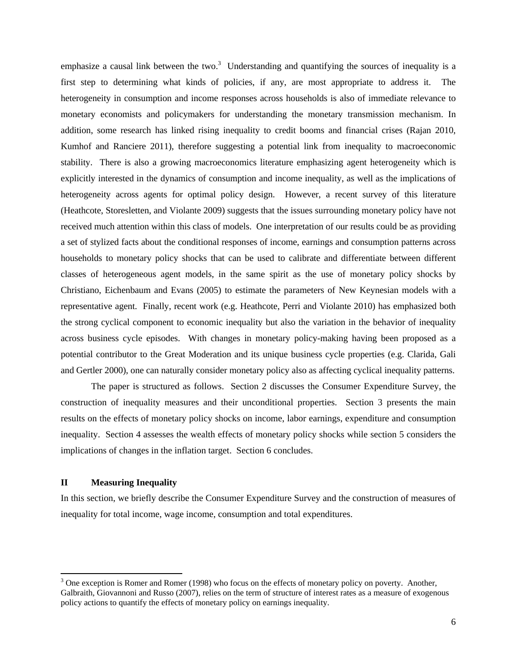emphasize a causal link between the two. $3$  Understanding and quantifying the sources of inequality is a first step to determining what kinds of policies, if any, are most appropriate to address it. The heterogeneity in consumption and income responses across households is also of immediate relevance to monetary economists and policymakers for understanding the monetary transmission mechanism. In addition, some research has linked rising inequality to credit booms and financial crises (Rajan 2010, Kumhof and Ranciere 2011), therefore suggesting a potential link from inequality to macroeconomic stability. There is also a growing macroeconomics literature emphasizing agent heterogeneity which is explicitly interested in the dynamics of consumption and income inequality, as well as the implications of heterogeneity across agents for optimal policy design. However, a recent survey of this literature (Heathcote, Storesletten, and Violante 2009) suggests that the issues surrounding monetary policy have not received much attention within this class of models. One interpretation of our results could be as providing a set of stylized facts about the conditional responses of income, earnings and consumption patterns across households to monetary policy shocks that can be used to calibrate and differentiate between different classes of heterogeneous agent models, in the same spirit as the use of monetary policy shocks by Christiano, Eichenbaum and Evans (2005) to estimate the parameters of New Keynesian models with a representative agent. Finally, recent work (e.g. Heathcote, Perri and Violante 2010) has emphasized both the strong cyclical component to economic inequality but also the variation in the behavior of inequality across business cycle episodes. With changes in monetary policy-making having been proposed as a potential contributor to the Great Moderation and its unique business cycle properties (e.g. Clarida, Gali and Gertler 2000), one can naturally consider monetary policy also as affecting cyclical inequality patterns.

 The paper is structured as follows. Section 2 discusses the Consumer Expenditure Survey, the construction of inequality measures and their unconditional properties. Section 3 presents the main results on the effects of monetary policy shocks on income, labor earnings, expenditure and consumption inequality. Section 4 assesses the wealth effects of monetary policy shocks while section 5 considers the implications of changes in the inflation target. Section 6 concludes.

### **II Measuring Inequality**

In this section, we briefly describe the Consumer Expenditure Survey and the construction of measures of inequality for total income, wage income, consumption and total expenditures.

 $3$  One exception is Romer and Romer (1998) who focus on the effects of monetary policy on poverty. Another, Galbraith, Giovannoni and Russo (2007), relies on the term of structure of interest rates as a measure of exogenous policy actions to quantify the effects of monetary policy on earnings inequality.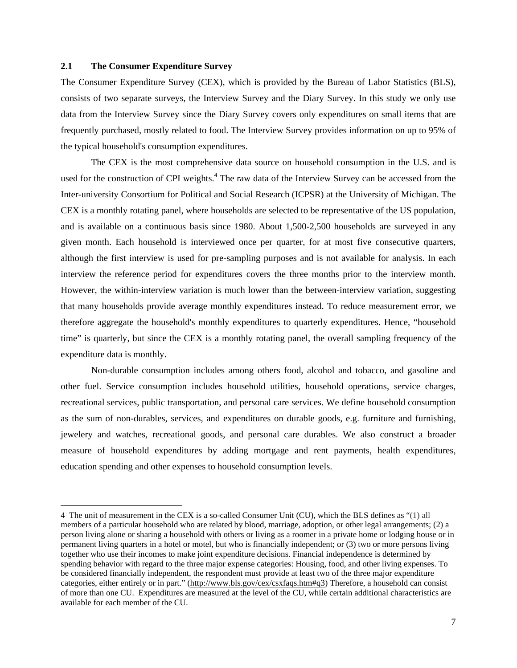#### **2.1 The Consumer Expenditure Survey**

The Consumer Expenditure Survey (CEX), which is provided by the Bureau of Labor Statistics (BLS), consists of two separate surveys, the Interview Survey and the Diary Survey. In this study we only use data from the Interview Survey since the Diary Survey covers only expenditures on small items that are frequently purchased, mostly related to food. The Interview Survey provides information on up to 95% of the typical household's consumption expenditures.

The CEX is the most comprehensive data source on household consumption in the U.S. and is used for the construction of CPI weights.<sup>4</sup> The raw data of the Interview Survey can be accessed from the Inter-university Consortium for Political and Social Research (ICPSR) at the University of Michigan. The CEX is a monthly rotating panel, where households are selected to be representative of the US population, and is available on a continuous basis since 1980. About 1,500-2,500 households are surveyed in any given month. Each household is interviewed once per quarter, for at most five consecutive quarters, although the first interview is used for pre-sampling purposes and is not available for analysis. In each interview the reference period for expenditures covers the three months prior to the interview month. However, the within-interview variation is much lower than the between-interview variation, suggesting that many households provide average monthly expenditures instead. To reduce measurement error, we therefore aggregate the household's monthly expenditures to quarterly expenditures. Hence, "household time" is quarterly, but since the CEX is a monthly rotating panel, the overall sampling frequency of the expenditure data is monthly.

Non-durable consumption includes among others food, alcohol and tobacco, and gasoline and other fuel. Service consumption includes household utilities, household operations, service charges, recreational services, public transportation, and personal care services. We define household consumption as the sum of non-durables, services, and expenditures on durable goods, e.g. furniture and furnishing, jewelery and watches, recreational goods, and personal care durables. We also construct a broader measure of household expenditures by adding mortgage and rent payments, health expenditures, education spending and other expenses to household consumption levels.

<sup>4</sup> The unit of measurement in the CEX is a so-called Consumer Unit (CU), which the BLS defines as "(1) all members of a particular household who are related by blood, marriage, adoption, or other legal arrangements; (2) a person living alone or sharing a household with others or living as a roomer in a private home or lodging house or in permanent living quarters in a hotel or motel, but who is financially independent; or (3) two or more persons living together who use their incomes to make joint expenditure decisions. Financial independence is determined by spending behavior with regard to the three major expense categories: Housing, food, and other living expenses. To be considered financially independent, the respondent must provide at least two of the three major expenditure categories, either entirely or in part." (http://www.bls.gov/cex/csxfaqs.htm#q3) Therefore, a household can consist of more than one CU. Expenditures are measured at the level of the CU, while certain additional characteristics are available for each member of the CU.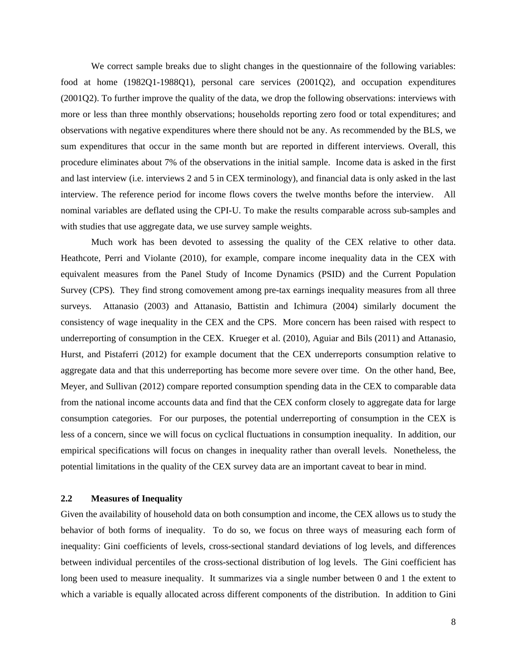We correct sample breaks due to slight changes in the questionnaire of the following variables: food at home (1982Q1-1988Q1), personal care services (2001Q2), and occupation expenditures (2001Q2). To further improve the quality of the data, we drop the following observations: interviews with more or less than three monthly observations; households reporting zero food or total expenditures; and observations with negative expenditures where there should not be any. As recommended by the BLS, we sum expenditures that occur in the same month but are reported in different interviews. Overall, this procedure eliminates about 7% of the observations in the initial sample. Income data is asked in the first and last interview (i.e. interviews 2 and 5 in CEX terminology), and financial data is only asked in the last interview. The reference period for income flows covers the twelve months before the interview. All nominal variables are deflated using the CPI-U. To make the results comparable across sub-samples and with studies that use aggregate data, we use survey sample weights.

Much work has been devoted to assessing the quality of the CEX relative to other data. Heathcote, Perri and Violante (2010), for example, compare income inequality data in the CEX with equivalent measures from the Panel Study of Income Dynamics (PSID) and the Current Population Survey (CPS). They find strong comovement among pre-tax earnings inequality measures from all three surveys. Attanasio (2003) and Attanasio, Battistin and Ichimura (2004) similarly document the consistency of wage inequality in the CEX and the CPS. More concern has been raised with respect to underreporting of consumption in the CEX. Krueger et al. (2010), Aguiar and Bils (2011) and Attanasio, Hurst, and Pistaferri (2012) for example document that the CEX underreports consumption relative to aggregate data and that this underreporting has become more severe over time. On the other hand, Bee, Meyer, and Sullivan (2012) compare reported consumption spending data in the CEX to comparable data from the national income accounts data and find that the CEX conform closely to aggregate data for large consumption categories. For our purposes, the potential underreporting of consumption in the CEX is less of a concern, since we will focus on cyclical fluctuations in consumption inequality. In addition, our empirical specifications will focus on changes in inequality rather than overall levels. Nonetheless, the potential limitations in the quality of the CEX survey data are an important caveat to bear in mind.

### **2.2 Measures of Inequality**

Given the availability of household data on both consumption and income, the CEX allows us to study the behavior of both forms of inequality. To do so, we focus on three ways of measuring each form of inequality: Gini coefficients of levels, cross-sectional standard deviations of log levels, and differences between individual percentiles of the cross-sectional distribution of log levels. The Gini coefficient has long been used to measure inequality. It summarizes via a single number between 0 and 1 the extent to which a variable is equally allocated across different components of the distribution. In addition to Gini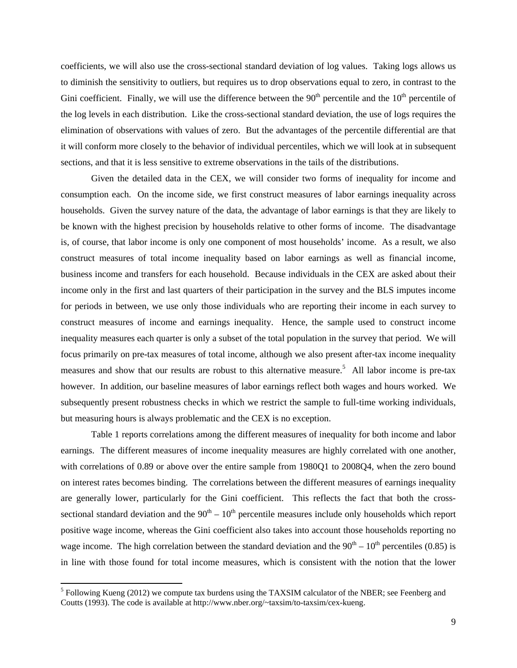coefficients, we will also use the cross-sectional standard deviation of log values. Taking logs allows us to diminish the sensitivity to outliers, but requires us to drop observations equal to zero, in contrast to the Gini coefficient. Finally, we will use the difference between the  $90<sup>th</sup>$  percentile and the  $10<sup>th</sup>$  percentile of the log levels in each distribution. Like the cross-sectional standard deviation, the use of logs requires the elimination of observations with values of zero. But the advantages of the percentile differential are that it will conform more closely to the behavior of individual percentiles, which we will look at in subsequent sections, and that it is less sensitive to extreme observations in the tails of the distributions.

 Given the detailed data in the CEX, we will consider two forms of inequality for income and consumption each. On the income side, we first construct measures of labor earnings inequality across households. Given the survey nature of the data, the advantage of labor earnings is that they are likely to be known with the highest precision by households relative to other forms of income. The disadvantage is, of course, that labor income is only one component of most households' income. As a result, we also construct measures of total income inequality based on labor earnings as well as financial income, business income and transfers for each household. Because individuals in the CEX are asked about their income only in the first and last quarters of their participation in the survey and the BLS imputes income for periods in between, we use only those individuals who are reporting their income in each survey to construct measures of income and earnings inequality. Hence, the sample used to construct income inequality measures each quarter is only a subset of the total population in the survey that period. We will focus primarily on pre-tax measures of total income, although we also present after-tax income inequality measures and show that our results are robust to this alternative measure.<sup>5</sup> All labor income is pre-tax however. In addition, our baseline measures of labor earnings reflect both wages and hours worked. We subsequently present robustness checks in which we restrict the sample to full-time working individuals, but measuring hours is always problematic and the CEX is no exception.

 Table 1 reports correlations among the different measures of inequality for both income and labor earnings. The different measures of income inequality measures are highly correlated with one another, with correlations of 0.89 or above over the entire sample from 1980Q1 to 2008Q4, when the zero bound on interest rates becomes binding. The correlations between the different measures of earnings inequality are generally lower, particularly for the Gini coefficient. This reflects the fact that both the crosssectional standard deviation and the  $90<sup>th</sup> - 10<sup>th</sup>$  percentile measures include only households which report positive wage income, whereas the Gini coefficient also takes into account those households reporting no wage income. The high correlation between the standard deviation and the  $90<sup>th</sup> - 10<sup>th</sup>$  percentiles (0.85) is in line with those found for total income measures, which is consistent with the notion that the lower

 $<sup>5</sup>$  Following Kueng (2012) we compute tax burdens using the TAXSIM calculator of the NBER; see Feenberg and</sup> Coutts (1993). The code is available at http://www.nber.org/~taxsim/to-taxsim/cex-kueng.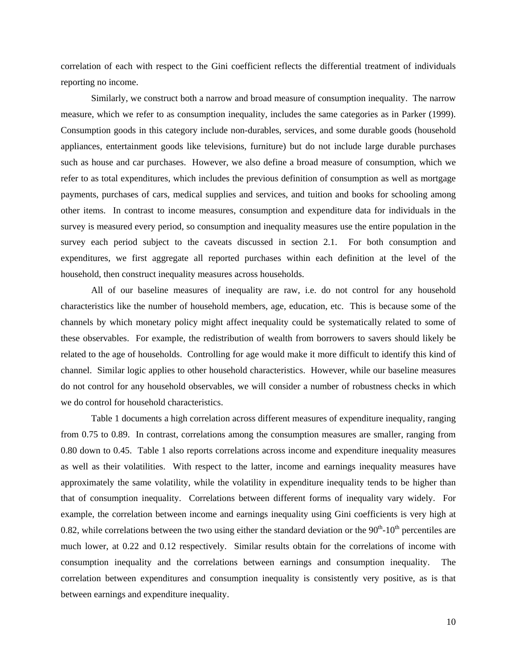correlation of each with respect to the Gini coefficient reflects the differential treatment of individuals reporting no income.

 Similarly, we construct both a narrow and broad measure of consumption inequality. The narrow measure, which we refer to as consumption inequality, includes the same categories as in Parker (1999). Consumption goods in this category include non-durables, services, and some durable goods (household appliances, entertainment goods like televisions, furniture) but do not include large durable purchases such as house and car purchases. However, we also define a broad measure of consumption, which we refer to as total expenditures, which includes the previous definition of consumption as well as mortgage payments, purchases of cars, medical supplies and services, and tuition and books for schooling among other items. In contrast to income measures, consumption and expenditure data for individuals in the survey is measured every period, so consumption and inequality measures use the entire population in the survey each period subject to the caveats discussed in section 2.1. For both consumption and expenditures, we first aggregate all reported purchases within each definition at the level of the household, then construct inequality measures across households.

 All of our baseline measures of inequality are raw, i.e. do not control for any household characteristics like the number of household members, age, education, etc. This is because some of the channels by which monetary policy might affect inequality could be systematically related to some of these observables. For example, the redistribution of wealth from borrowers to savers should likely be related to the age of households. Controlling for age would make it more difficult to identify this kind of channel. Similar logic applies to other household characteristics. However, while our baseline measures do not control for any household observables, we will consider a number of robustness checks in which we do control for household characteristics.

 Table 1 documents a high correlation across different measures of expenditure inequality, ranging from 0.75 to 0.89. In contrast, correlations among the consumption measures are smaller, ranging from 0.80 down to 0.45. Table 1 also reports correlations across income and expenditure inequality measures as well as their volatilities. With respect to the latter, income and earnings inequality measures have approximately the same volatility, while the volatility in expenditure inequality tends to be higher than that of consumption inequality. Correlations between different forms of inequality vary widely. For example, the correlation between income and earnings inequality using Gini coefficients is very high at 0.82, while correlations between the two using either the standard deviation or the  $90<sup>th</sup>$ -10<sup>th</sup> percentiles are much lower, at 0.22 and 0.12 respectively. Similar results obtain for the correlations of income with consumption inequality and the correlations between earnings and consumption inequality. The correlation between expenditures and consumption inequality is consistently very positive, as is that between earnings and expenditure inequality.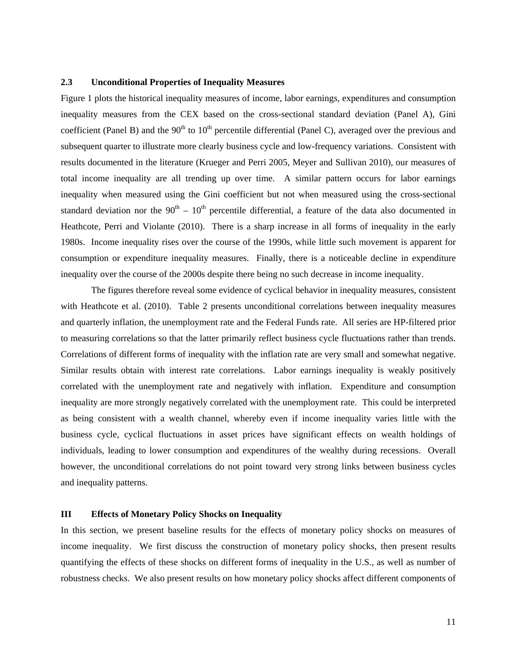#### **2.3 Unconditional Properties of Inequality Measures**

Figure 1 plots the historical inequality measures of income, labor earnings, expenditures and consumption inequality measures from the CEX based on the cross-sectional standard deviation (Panel A), Gini coefficient (Panel B) and the  $90<sup>th</sup>$  to  $10<sup>th</sup>$  percentile differential (Panel C), averaged over the previous and subsequent quarter to illustrate more clearly business cycle and low-frequency variations. Consistent with results documented in the literature (Krueger and Perri 2005, Meyer and Sullivan 2010), our measures of total income inequality are all trending up over time. A similar pattern occurs for labor earnings inequality when measured using the Gini coefficient but not when measured using the cross-sectional standard deviation nor the  $90<sup>th</sup> - 10<sup>th</sup>$  percentile differential, a feature of the data also documented in Heathcote, Perri and Violante (2010). There is a sharp increase in all forms of inequality in the early 1980s. Income inequality rises over the course of the 1990s, while little such movement is apparent for consumption or expenditure inequality measures. Finally, there is a noticeable decline in expenditure inequality over the course of the 2000s despite there being no such decrease in income inequality.

The figures therefore reveal some evidence of cyclical behavior in inequality measures, consistent with Heathcote et al. (2010). Table 2 presents unconditional correlations between inequality measures and quarterly inflation, the unemployment rate and the Federal Funds rate. All series are HP-filtered prior to measuring correlations so that the latter primarily reflect business cycle fluctuations rather than trends. Correlations of different forms of inequality with the inflation rate are very small and somewhat negative. Similar results obtain with interest rate correlations. Labor earnings inequality is weakly positively correlated with the unemployment rate and negatively with inflation. Expenditure and consumption inequality are more strongly negatively correlated with the unemployment rate. This could be interpreted as being consistent with a wealth channel, whereby even if income inequality varies little with the business cycle, cyclical fluctuations in asset prices have significant effects on wealth holdings of individuals, leading to lower consumption and expenditures of the wealthy during recessions. Overall however, the unconditional correlations do not point toward very strong links between business cycles and inequality patterns.

### **III Effects of Monetary Policy Shocks on Inequality**

In this section, we present baseline results for the effects of monetary policy shocks on measures of income inequality. We first discuss the construction of monetary policy shocks, then present results quantifying the effects of these shocks on different forms of inequality in the U.S., as well as number of robustness checks. We also present results on how monetary policy shocks affect different components of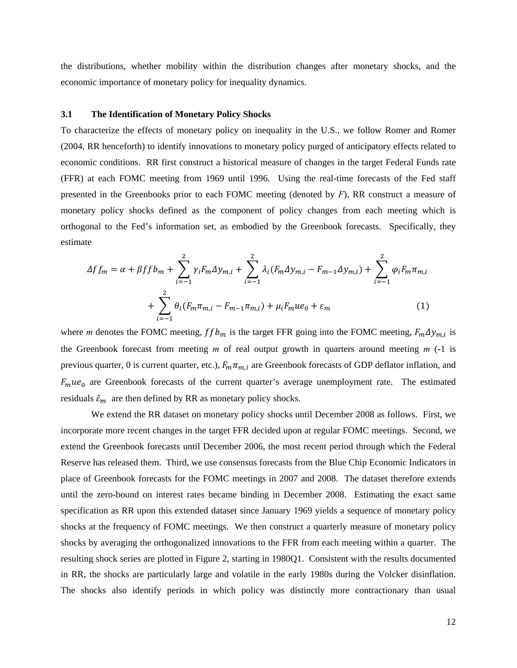the distributions, whether mobility within the distribution changes after monetary shocks, and the economic importance of monetary policy for inequality dynamics.

#### **3.1 The Identification of Monetary Policy Shocks**

To characterize the effects of monetary policy on inequality in the U.S., we follow Romer and Romer (2004, RR henceforth) to identify innovations to monetary policy purged of anticipatory effects related to economic conditions. RR first construct a historical measure of changes in the target Federal Funds rate (FFR) at each FOMC meeting from 1969 until 1996. Using the real-time forecasts of the Fed staff presented in the Greenbooks prior to each FOMC meeting (denoted by *F*), RR construct a measure of monetary policy shocks defined as the component of policy changes from each meeting which is orthogonal to the Fed's information set, as embodied by the Greenbook forecasts. Specifically, they estimate

$$
\Delta f f_m = \alpha + \beta f f b_m + \sum_{i=-1}^{2} \gamma_i F_m \Delta y_{m,i} + \sum_{i=-1}^{2} \lambda_i (F_m \Delta y_{m,i} - F_{m-1} \Delta y_{m,i}) + \sum_{i=-1}^{2} \varphi_i F_m \pi_{m,i} + \sum_{i=-1}^{2} \theta_i (F_m \pi_{m,i} - F_{m-1} \pi_{m,i}) + \mu_i F_m u e_0 + \varepsilon_m
$$
(1)

where *m* denotes the FOMC meeting,  $ffb_m$  is the target FFR going into the FOMC meeting,  $F_m \Delta y_{m,i}$  is the Greenbook forecast from meeting *m* of real output growth in quarters around meeting *m* (-1 is previous quarter, 0 is current quarter, etc.),  $F_m \pi_{m,i}$  are Greenbook forecasts of GDP deflator inflation, and  $F_m u e_0$  are Greenbook forecasts of the current quarter's average unemployment rate. The estimated residuals  $\hat{\epsilon}_m$  are then defined by RR as monetary policy shocks.

 We extend the RR dataset on monetary policy shocks until December 2008 as follows. First, we incorporate more recent changes in the target FFR decided upon at regular FOMC meetings. Second, we extend the Greenbook forecasts until December 2006, the most recent period through which the Federal Reserve has released them. Third, we use consensus forecasts from the Blue Chip Economic Indicators in place of Greenbook forecasts for the FOMC meetings in 2007 and 2008. The dataset therefore extends until the zero-bound on interest rates became binding in December 2008. Estimating the exact same specification as RR upon this extended dataset since January 1969 yields a sequence of monetary policy shocks at the frequency of FOMC meetings. We then construct a quarterly measure of monetary policy shocks by averaging the orthogonalized innovations to the FFR from each meeting within a quarter. The resulting shock series are plotted in Figure 2, starting in 1980Q1. Consistent with the results documented in RR, the shocks are particularly large and volatile in the early 1980s during the Volcker disinflation. The shocks also identify periods in which policy was distinctly more contractionary than usual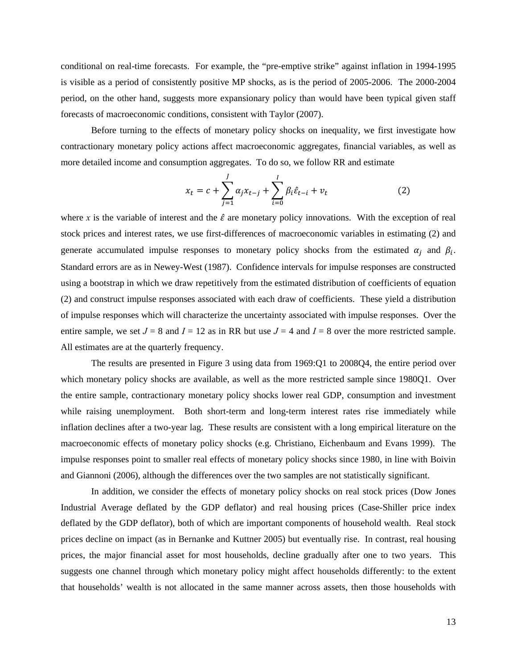conditional on real-time forecasts. For example, the "pre-emptive strike" against inflation in 1994-1995 is visible as a period of consistently positive MP shocks, as is the period of 2005-2006. The 2000-2004 period, on the other hand, suggests more expansionary policy than would have been typical given staff forecasts of macroeconomic conditions, consistent with Taylor (2007).

 Before turning to the effects of monetary policy shocks on inequality, we first investigate how contractionary monetary policy actions affect macroeconomic aggregates, financial variables, as well as more detailed income and consumption aggregates. To do so, we follow RR and estimate

$$
x_{t} = c + \sum_{j=1}^{J} \alpha_{j} x_{t-j} + \sum_{i=0}^{I} \beta_{i} \hat{\varepsilon}_{t-i} + v_{t}
$$
 (2)

where *x* is the variable of interest and the  $\hat{\varepsilon}$  are monetary policy innovations. With the exception of real stock prices and interest rates, we use first-differences of macroeconomic variables in estimating (2) and generate accumulated impulse responses to monetary policy shocks from the estimated  $\alpha_i$  and  $\beta_i$ . Standard errors are as in Newey-West (1987). Confidence intervals for impulse responses are constructed using a bootstrap in which we draw repetitively from the estimated distribution of coefficients of equation (2) and construct impulse responses associated with each draw of coefficients. These yield a distribution of impulse responses which will characterize the uncertainty associated with impulse responses. Over the entire sample, we set  $J = 8$  and  $I = 12$  as in RR but use  $J = 4$  and  $I = 8$  over the more restricted sample. All estimates are at the quarterly frequency.

 The results are presented in Figure 3 using data from 1969:Q1 to 2008Q4, the entire period over which monetary policy shocks are available, as well as the more restricted sample since 1980Q1. Over the entire sample, contractionary monetary policy shocks lower real GDP, consumption and investment while raising unemployment. Both short-term and long-term interest rates rise immediately while inflation declines after a two-year lag. These results are consistent with a long empirical literature on the macroeconomic effects of monetary policy shocks (e.g. Christiano, Eichenbaum and Evans 1999). The impulse responses point to smaller real effects of monetary policy shocks since 1980, in line with Boivin and Giannoni (2006), although the differences over the two samples are not statistically significant.

In addition, we consider the effects of monetary policy shocks on real stock prices (Dow Jones Industrial Average deflated by the GDP deflator) and real housing prices (Case-Shiller price index deflated by the GDP deflator), both of which are important components of household wealth. Real stock prices decline on impact (as in Bernanke and Kuttner 2005) but eventually rise. In contrast, real housing prices, the major financial asset for most households, decline gradually after one to two years. This suggests one channel through which monetary policy might affect households differently: to the extent that households' wealth is not allocated in the same manner across assets, then those households with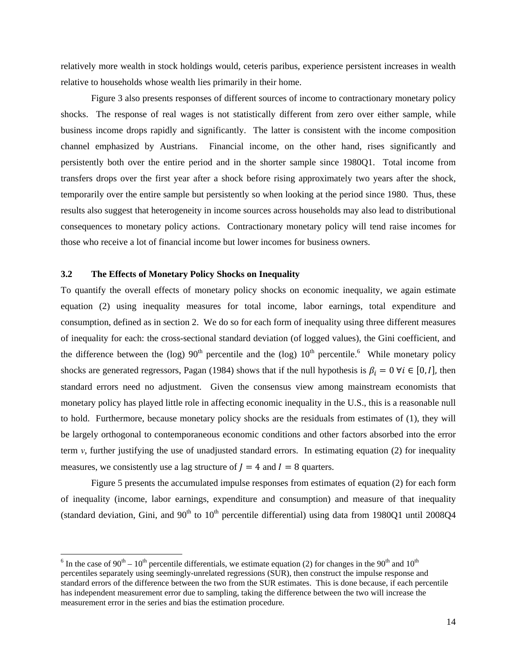relatively more wealth in stock holdings would, ceteris paribus, experience persistent increases in wealth relative to households whose wealth lies primarily in their home.

Figure 3 also presents responses of different sources of income to contractionary monetary policy shocks. The response of real wages is not statistically different from zero over either sample, while business income drops rapidly and significantly. The latter is consistent with the income composition channel emphasized by Austrians. Financial income, on the other hand, rises significantly and persistently both over the entire period and in the shorter sample since 1980Q1. Total income from transfers drops over the first year after a shock before rising approximately two years after the shock, temporarily over the entire sample but persistently so when looking at the period since 1980. Thus, these results also suggest that heterogeneity in income sources across households may also lead to distributional consequences to monetary policy actions. Contractionary monetary policy will tend raise incomes for those who receive a lot of financial income but lower incomes for business owners.

### **3.2 The Effects of Monetary Policy Shocks on Inequality**

To quantify the overall effects of monetary policy shocks on economic inequality, we again estimate equation (2) using inequality measures for total income, labor earnings, total expenditure and consumption, defined as in section 2. We do so for each form of inequality using three different measures of inequality for each: the cross-sectional standard deviation (of logged values), the Gini coefficient, and the difference between the (log)  $90<sup>th</sup>$  percentile and the (log)  $10<sup>th</sup>$  percentile.<sup>6</sup> While monetary policy shocks are generated regressors, Pagan (1984) shows that if the null hypothesis is  $\beta_i = 0 \,\forall i \in [0, I]$ , then standard errors need no adjustment. Given the consensus view among mainstream economists that monetary policy has played little role in affecting economic inequality in the U.S., this is a reasonable null to hold. Furthermore, because monetary policy shocks are the residuals from estimates of (1), they will be largely orthogonal to contemporaneous economic conditions and other factors absorbed into the error term  $\nu$ , further justifying the use of unadjusted standard errors. In estimating equation (2) for inequality measures, we consistently use a lag structure of  $J = 4$  and  $I = 8$  quarters.

 Figure 5 presents the accumulated impulse responses from estimates of equation (2) for each form of inequality (income, labor earnings, expenditure and consumption) and measure of that inequality (standard deviation, Gini, and  $90<sup>th</sup>$  to  $10<sup>th</sup>$  percentile differential) using data from 1980Q1 until 2008Q4

<sup>&</sup>lt;sup>6</sup> In the case of 90<sup>th</sup> – 10<sup>th</sup> percentile differentials, we estimate equation (2) for changes in the 90<sup>th</sup> and 10<sup>th</sup> percentiles separately using seemingly-unrelated regressions (SUR), then construct the impulse response and standard errors of the difference between the two from the SUR estimates. This is done because, if each percentile has independent measurement error due to sampling, taking the difference between the two will increase the measurement error in the series and bias the estimation procedure.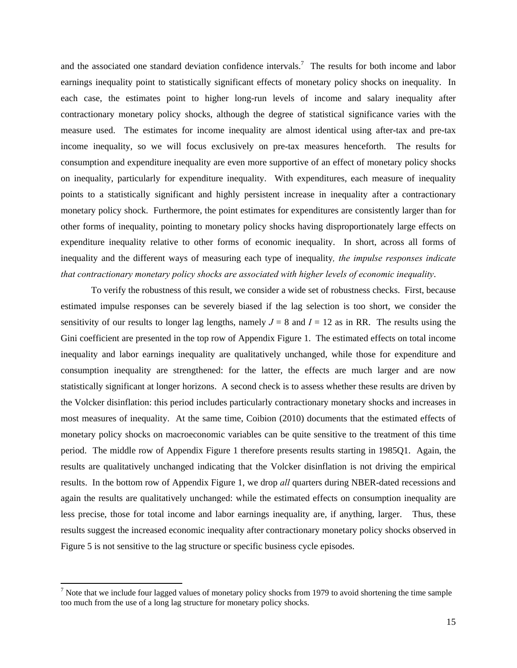and the associated one standard deviation confidence intervals.<sup>7</sup> The results for both income and labor earnings inequality point to statistically significant effects of monetary policy shocks on inequality. In each case, the estimates point to higher long-run levels of income and salary inequality after contractionary monetary policy shocks, although the degree of statistical significance varies with the measure used. The estimates for income inequality are almost identical using after-tax and pre-tax income inequality, so we will focus exclusively on pre-tax measures henceforth. The results for consumption and expenditure inequality are even more supportive of an effect of monetary policy shocks on inequality, particularly for expenditure inequality. With expenditures, each measure of inequality points to a statistically significant and highly persistent increase in inequality after a contractionary monetary policy shock. Furthermore, the point estimates for expenditures are consistently larger than for other forms of inequality, pointing to monetary policy shocks having disproportionately large effects on expenditure inequality relative to other forms of economic inequality. In short, across all forms of inequality and the different ways of measuring each type of inequality*, the impulse responses indicate that contractionary monetary policy shocks are associated with higher levels of economic inequality*.

 To verify the robustness of this result, we consider a wide set of robustness checks. First, because estimated impulse responses can be severely biased if the lag selection is too short, we consider the sensitivity of our results to longer lag lengths, namely  $J = 8$  and  $I = 12$  as in RR. The results using the Gini coefficient are presented in the top row of Appendix Figure 1. The estimated effects on total income inequality and labor earnings inequality are qualitatively unchanged, while those for expenditure and consumption inequality are strengthened: for the latter, the effects are much larger and are now statistically significant at longer horizons. A second check is to assess whether these results are driven by the Volcker disinflation: this period includes particularly contractionary monetary shocks and increases in most measures of inequality. At the same time, Coibion (2010) documents that the estimated effects of monetary policy shocks on macroeconomic variables can be quite sensitive to the treatment of this time period. The middle row of Appendix Figure 1 therefore presents results starting in 1985Q1. Again, the results are qualitatively unchanged indicating that the Volcker disinflation is not driving the empirical results. In the bottom row of Appendix Figure 1, we drop *all* quarters during NBER-dated recessions and again the results are qualitatively unchanged: while the estimated effects on consumption inequality are less precise, those for total income and labor earnings inequality are, if anything, larger. Thus, these results suggest the increased economic inequality after contractionary monetary policy shocks observed in Figure 5 is not sensitive to the lag structure or specific business cycle episodes.

 $<sup>7</sup>$  Note that we include four lagged values of monetary policy shocks from 1979 to avoid shortening the time sample</sup> too much from the use of a long lag structure for monetary policy shocks.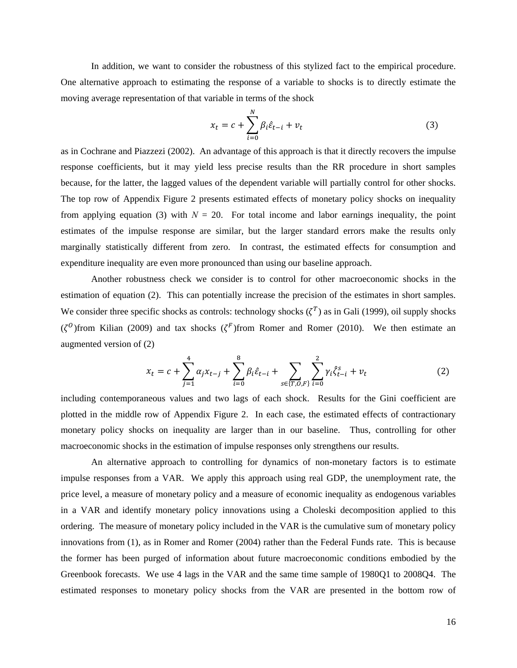In addition, we want to consider the robustness of this stylized fact to the empirical procedure. One alternative approach to estimating the response of a variable to shocks is to directly estimate the moving average representation of that variable in terms of the shock

$$
x_t = c + \sum_{i=0}^{N} \beta_i \hat{\varepsilon}_{t-i} + v_t
$$
\n(3)

as in Cochrane and Piazzezi (2002). An advantage of this approach is that it directly recovers the impulse response coefficients, but it may yield less precise results than the RR procedure in short samples because, for the latter, the lagged values of the dependent variable will partially control for other shocks. The top row of Appendix Figure 2 presents estimated effects of monetary policy shocks on inequality from applying equation (3) with  $N = 20$ . For total income and labor earnings inequality, the point estimates of the impulse response are similar, but the larger standard errors make the results only marginally statistically different from zero. In contrast, the estimated effects for consumption and expenditure inequality are even more pronounced than using our baseline approach.

 Another robustness check we consider is to control for other macroeconomic shocks in the estimation of equation (2). This can potentially increase the precision of the estimates in short samples. We consider three specific shocks as controls: technology shocks  $({\zeta}^T)$  as in Gali (1999), oil supply shocks ( $\zeta^0$ )from Kilian (2009) and tax shocks ( $\zeta^F$ )from Romer and Romer (2010). We then estimate an augmented version of (2)

$$
x_t = c + \sum_{j=1}^4 \alpha_j x_{t-j} + \sum_{i=0}^8 \beta_i \hat{\varepsilon}_{t-i} + \sum_{s \in \{T, 0, F\}} \sum_{i=0}^2 \gamma_i \hat{\zeta}_{t-i}^s + v_t \tag{2}
$$

including contemporaneous values and two lags of each shock. Results for the Gini coefficient are plotted in the middle row of Appendix Figure 2. In each case, the estimated effects of contractionary monetary policy shocks on inequality are larger than in our baseline. Thus, controlling for other macroeconomic shocks in the estimation of impulse responses only strengthens our results.

 An alternative approach to controlling for dynamics of non-monetary factors is to estimate impulse responses from a VAR. We apply this approach using real GDP, the unemployment rate, the price level, a measure of monetary policy and a measure of economic inequality as endogenous variables in a VAR and identify monetary policy innovations using a Choleski decomposition applied to this ordering. The measure of monetary policy included in the VAR is the cumulative sum of monetary policy innovations from (1), as in Romer and Romer (2004) rather than the Federal Funds rate. This is because the former has been purged of information about future macroeconomic conditions embodied by the Greenbook forecasts. We use 4 lags in the VAR and the same time sample of 1980Q1 to 2008Q4. The estimated responses to monetary policy shocks from the VAR are presented in the bottom row of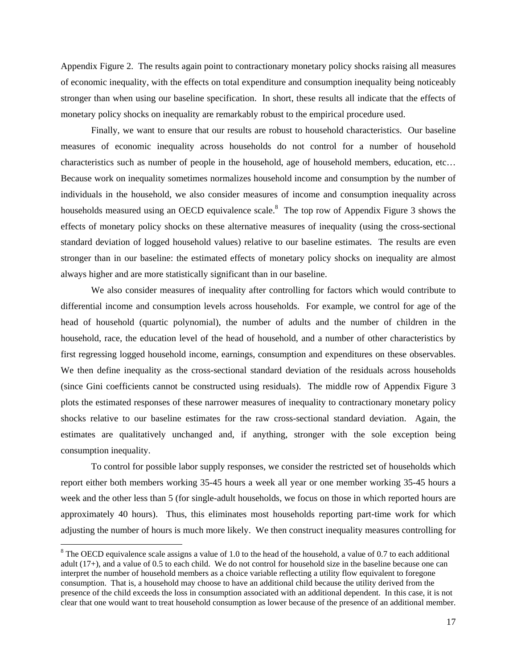Appendix Figure 2. The results again point to contractionary monetary policy shocks raising all measures of economic inequality, with the effects on total expenditure and consumption inequality being noticeably stronger than when using our baseline specification. In short, these results all indicate that the effects of monetary policy shocks on inequality are remarkably robust to the empirical procedure used.

 Finally, we want to ensure that our results are robust to household characteristics. Our baseline measures of economic inequality across households do not control for a number of household characteristics such as number of people in the household, age of household members, education, etc… Because work on inequality sometimes normalizes household income and consumption by the number of individuals in the household, we also consider measures of income and consumption inequality across households measured using an OECD equivalence scale.<sup>8</sup> The top row of Appendix Figure 3 shows the effects of monetary policy shocks on these alternative measures of inequality (using the cross-sectional standard deviation of logged household values) relative to our baseline estimates. The results are even stronger than in our baseline: the estimated effects of monetary policy shocks on inequality are almost always higher and are more statistically significant than in our baseline.

 We also consider measures of inequality after controlling for factors which would contribute to differential income and consumption levels across households. For example, we control for age of the head of household (quartic polynomial), the number of adults and the number of children in the household, race, the education level of the head of household, and a number of other characteristics by first regressing logged household income, earnings, consumption and expenditures on these observables. We then define inequality as the cross-sectional standard deviation of the residuals across households (since Gini coefficients cannot be constructed using residuals). The middle row of Appendix Figure 3 plots the estimated responses of these narrower measures of inequality to contractionary monetary policy shocks relative to our baseline estimates for the raw cross-sectional standard deviation. Again, the estimates are qualitatively unchanged and, if anything, stronger with the sole exception being consumption inequality.

 To control for possible labor supply responses, we consider the restricted set of households which report either both members working 35-45 hours a week all year or one member working 35-45 hours a week and the other less than 5 (for single-adult households, we focus on those in which reported hours are approximately 40 hours). Thus, this eliminates most households reporting part-time work for which adjusting the number of hours is much more likely. We then construct inequality measures controlling for

 $8$  The OECD equivalence scale assigns a value of 1.0 to the head of the household, a value of 0.7 to each additional adult (17+), and a value of 0.5 to each child. We do not control for household size in the baseline because one can interpret the number of household members as a choice variable reflecting a utility flow equivalent to foregone consumption. That is, a household may choose to have an additional child because the utility derived from the presence of the child exceeds the loss in consumption associated with an additional dependent. In this case, it is not clear that one would want to treat household consumption as lower because of the presence of an additional member.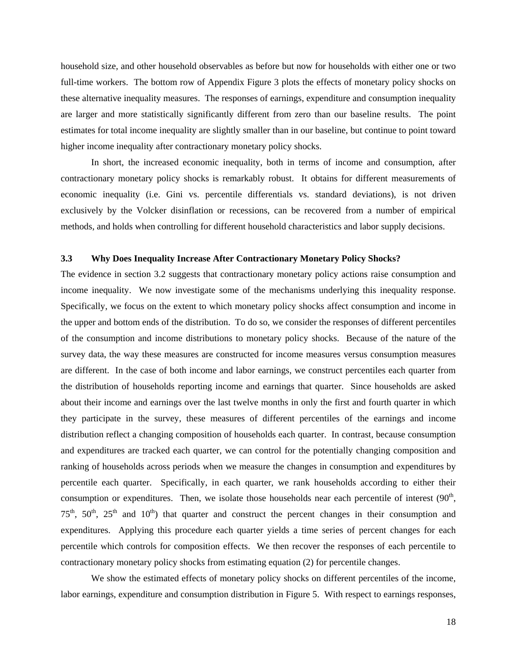household size, and other household observables as before but now for households with either one or two full-time workers. The bottom row of Appendix Figure 3 plots the effects of monetary policy shocks on these alternative inequality measures. The responses of earnings, expenditure and consumption inequality are larger and more statistically significantly different from zero than our baseline results. The point estimates for total income inequality are slightly smaller than in our baseline, but continue to point toward higher income inequality after contractionary monetary policy shocks.

 In short, the increased economic inequality, both in terms of income and consumption, after contractionary monetary policy shocks is remarkably robust. It obtains for different measurements of economic inequality (i.e. Gini vs. percentile differentials vs. standard deviations), is not driven exclusively by the Volcker disinflation or recessions, can be recovered from a number of empirical methods, and holds when controlling for different household characteristics and labor supply decisions.

### **3.3 Why Does Inequality Increase After Contractionary Monetary Policy Shocks?**

The evidence in section 3.2 suggests that contractionary monetary policy actions raise consumption and income inequality. We now investigate some of the mechanisms underlying this inequality response. Specifically, we focus on the extent to which monetary policy shocks affect consumption and income in the upper and bottom ends of the distribution. To do so, we consider the responses of different percentiles of the consumption and income distributions to monetary policy shocks. Because of the nature of the survey data, the way these measures are constructed for income measures versus consumption measures are different. In the case of both income and labor earnings, we construct percentiles each quarter from the distribution of households reporting income and earnings that quarter. Since households are asked about their income and earnings over the last twelve months in only the first and fourth quarter in which they participate in the survey, these measures of different percentiles of the earnings and income distribution reflect a changing composition of households each quarter. In contrast, because consumption and expenditures are tracked each quarter, we can control for the potentially changing composition and ranking of households across periods when we measure the changes in consumption and expenditures by percentile each quarter. Specifically, in each quarter, we rank households according to either their consumption or expenditures. Then, we isolate those households near each percentile of interest  $(90<sup>th</sup>$ ,  $75<sup>th</sup>$ ,  $50<sup>th</sup>$ ,  $25<sup>th</sup>$  and  $10<sup>th</sup>$ ) that quarter and construct the percent changes in their consumption and expenditures. Applying this procedure each quarter yields a time series of percent changes for each percentile which controls for composition effects. We then recover the responses of each percentile to contractionary monetary policy shocks from estimating equation (2) for percentile changes.

 We show the estimated effects of monetary policy shocks on different percentiles of the income, labor earnings, expenditure and consumption distribution in Figure 5. With respect to earnings responses,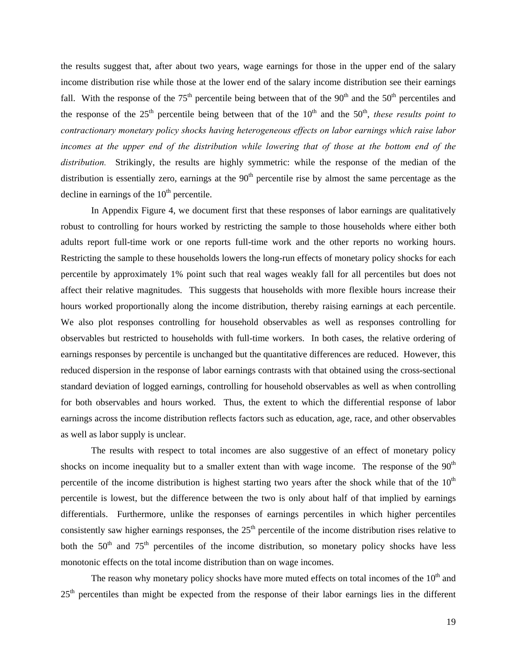the results suggest that, after about two years, wage earnings for those in the upper end of the salary income distribution rise while those at the lower end of the salary income distribution see their earnings fall. With the response of the  $75<sup>th</sup>$  percentile being between that of the  $90<sup>th</sup>$  and the  $50<sup>th</sup>$  percentiles and the response of the  $25<sup>th</sup>$  percentile being between that of the  $10<sup>th</sup>$  and the  $50<sup>th</sup>$ , *these results point to contractionary monetary policy shocks having heterogeneous effects on labor earnings which raise labor incomes at the upper end of the distribution while lowering that of those at the bottom end of the distribution.* Strikingly, the results are highly symmetric: while the response of the median of the distribution is essentially zero, earnings at the  $90<sup>th</sup>$  percentile rise by almost the same percentage as the decline in earnings of the  $10<sup>th</sup>$  percentile.

In Appendix Figure 4, we document first that these responses of labor earnings are qualitatively robust to controlling for hours worked by restricting the sample to those households where either both adults report full-time work or one reports full-time work and the other reports no working hours. Restricting the sample to these households lowers the long-run effects of monetary policy shocks for each percentile by approximately 1% point such that real wages weakly fall for all percentiles but does not affect their relative magnitudes. This suggests that households with more flexible hours increase their hours worked proportionally along the income distribution, thereby raising earnings at each percentile. We also plot responses controlling for household observables as well as responses controlling for observables but restricted to households with full-time workers. In both cases, the relative ordering of earnings responses by percentile is unchanged but the quantitative differences are reduced. However, this reduced dispersion in the response of labor earnings contrasts with that obtained using the cross-sectional standard deviation of logged earnings, controlling for household observables as well as when controlling for both observables and hours worked. Thus, the extent to which the differential response of labor earnings across the income distribution reflects factors such as education, age, race, and other observables as well as labor supply is unclear.

 The results with respect to total incomes are also suggestive of an effect of monetary policy shocks on income inequality but to a smaller extent than with wage income. The response of the 90<sup>th</sup> percentile of the income distribution is highest starting two years after the shock while that of the  $10<sup>th</sup>$ percentile is lowest, but the difference between the two is only about half of that implied by earnings differentials. Furthermore, unlike the responses of earnings percentiles in which higher percentiles consistently saw higher earnings responses, the  $25<sup>th</sup>$  percentile of the income distribution rises relative to both the  $50<sup>th</sup>$  and  $75<sup>th</sup>$  percentiles of the income distribution, so monetary policy shocks have less monotonic effects on the total income distribution than on wage incomes.

The reason why monetary policy shocks have more muted effects on total incomes of the  $10<sup>th</sup>$  and  $25<sup>th</sup>$  percentiles than might be expected from the response of their labor earnings lies in the different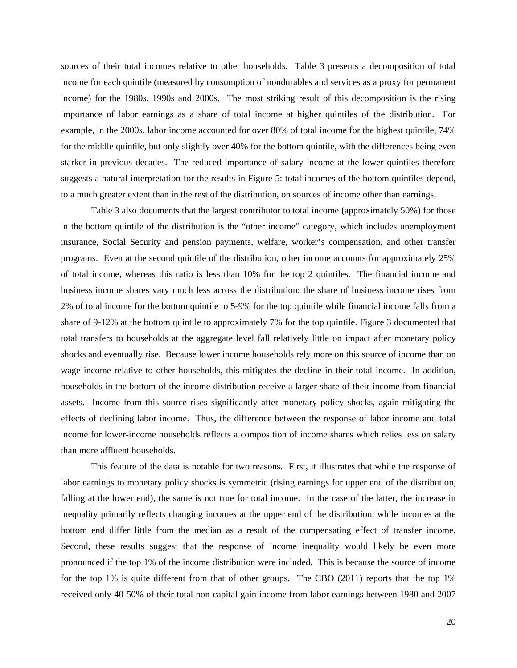sources of their total incomes relative to other households. Table 3 presents a decomposition of total income for each quintile (measured by consumption of nondurables and services as a proxy for permanent income) for the 1980s, 1990s and 2000s. The most striking result of this decomposition is the rising importance of labor earnings as a share of total income at higher quintiles of the distribution. For example, in the 2000s, labor income accounted for over 80% of total income for the highest quintile, 74% for the middle quintile, but only slightly over 40% for the bottom quintile, with the differences being even starker in previous decades. The reduced importance of salary income at the lower quintiles therefore suggests a natural interpretation for the results in Figure 5: total incomes of the bottom quintiles depend, to a much greater extent than in the rest of the distribution, on sources of income other than earnings.

Table 3 also documents that the largest contributor to total income (approximately 50%) for those in the bottom quintile of the distribution is the "other income" category, which includes unemployment insurance, Social Security and pension payments, welfare, worker's compensation, and other transfer programs. Even at the second quintile of the distribution, other income accounts for approximately 25% of total income, whereas this ratio is less than 10% for the top 2 quintiles. The financial income and business income shares vary much less across the distribution: the share of business income rises from 2% of total income for the bottom quintile to 5-9% for the top quintile while financial income falls from a share of 9-12% at the bottom quintile to approximately 7% for the top quintile. Figure 3 documented that total transfers to households at the aggregate level fall relatively little on impact after monetary policy shocks and eventually rise. Because lower income households rely more on this source of income than on wage income relative to other households, this mitigates the decline in their total income. In addition, households in the bottom of the income distribution receive a larger share of their income from financial assets. Income from this source rises significantly after monetary policy shocks, again mitigating the effects of declining labor income. Thus, the difference between the response of labor income and total income for lower-income households reflects a composition of income shares which relies less on salary than more affluent households.

This feature of the data is notable for two reasons. First, it illustrates that while the response of labor earnings to monetary policy shocks is symmetric (rising earnings for upper end of the distribution, falling at the lower end), the same is not true for total income. In the case of the latter, the increase in inequality primarily reflects changing incomes at the upper end of the distribution, while incomes at the bottom end differ little from the median as a result of the compensating effect of transfer income. Second, these results suggest that the response of income inequality would likely be even more pronounced if the top 1% of the income distribution were included. This is because the source of income for the top 1% is quite different from that of other groups. The CBO (2011) reports that the top 1% received only 40-50% of their total non-capital gain income from labor earnings between 1980 and 2007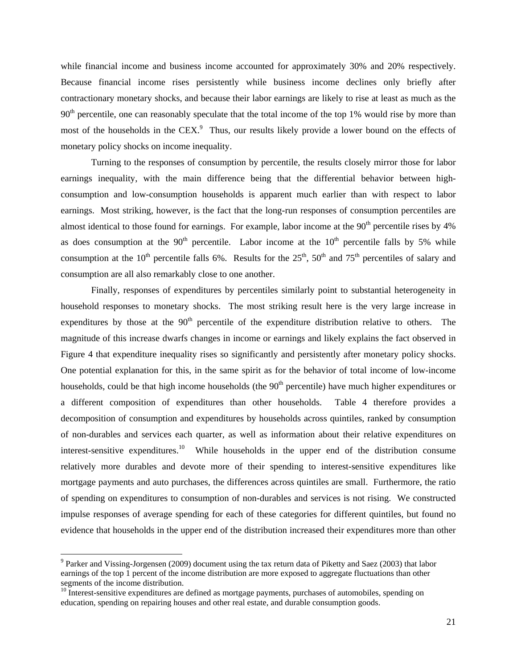while financial income and business income accounted for approximately 30% and 20% respectively. Because financial income rises persistently while business income declines only briefly after contractionary monetary shocks, and because their labor earnings are likely to rise at least as much as the  $90<sup>th</sup>$  percentile, one can reasonably speculate that the total income of the top 1% would rise by more than most of the households in the  $CEX$ <sup>9</sup>. Thus, our results likely provide a lower bound on the effects of monetary policy shocks on income inequality.

 Turning to the responses of consumption by percentile, the results closely mirror those for labor earnings inequality, with the main difference being that the differential behavior between highconsumption and low-consumption households is apparent much earlier than with respect to labor earnings. Most striking, however, is the fact that the long-run responses of consumption percentiles are almost identical to those found for earnings. For example, labor income at the  $90<sup>th</sup>$  percentile rises by  $4%$ as does consumption at the  $90<sup>th</sup>$  percentile. Labor income at the  $10<sup>th</sup>$  percentile falls by 5% while consumption at the 10<sup>th</sup> percentile falls 6%. Results for the  $25<sup>th</sup>$ , 50<sup>th</sup> and 75<sup>th</sup> percentiles of salary and consumption are all also remarkably close to one another.

 Finally, responses of expenditures by percentiles similarly point to substantial heterogeneity in household responses to monetary shocks. The most striking result here is the very large increase in expenditures by those at the  $90<sup>th</sup>$  percentile of the expenditure distribution relative to others. The magnitude of this increase dwarfs changes in income or earnings and likely explains the fact observed in Figure 4 that expenditure inequality rises so significantly and persistently after monetary policy shocks. One potential explanation for this, in the same spirit as for the behavior of total income of low-income households, could be that high income households (the  $90<sup>th</sup>$  percentile) have much higher expenditures or a different composition of expenditures than other households. Table 4 therefore provides a decomposition of consumption and expenditures by households across quintiles, ranked by consumption of non-durables and services each quarter, as well as information about their relative expenditures on interest-sensitive expenditures.<sup>10</sup> While households in the upper end of the distribution consume relatively more durables and devote more of their spending to interest-sensitive expenditures like mortgage payments and auto purchases, the differences across quintiles are small. Furthermore, the ratio of spending on expenditures to consumption of non-durables and services is not rising. We constructed impulse responses of average spending for each of these categories for different quintiles, but found no evidence that households in the upper end of the distribution increased their expenditures more than other

<sup>&</sup>lt;sup>9</sup> Parker and Vissing-Jorgensen (2009) document using the tax return data of Piketty and Saez (2003) that labor earnings of the top 1 percent of the income distribution are more exposed to aggregate fluctuations than other segments of the income distribution.

<sup>&</sup>lt;sup>10</sup> Interest-sensitive expenditures are defined as mortgage payments, purchases of automobiles, spending on education, spending on repairing houses and other real estate, and durable consumption goods.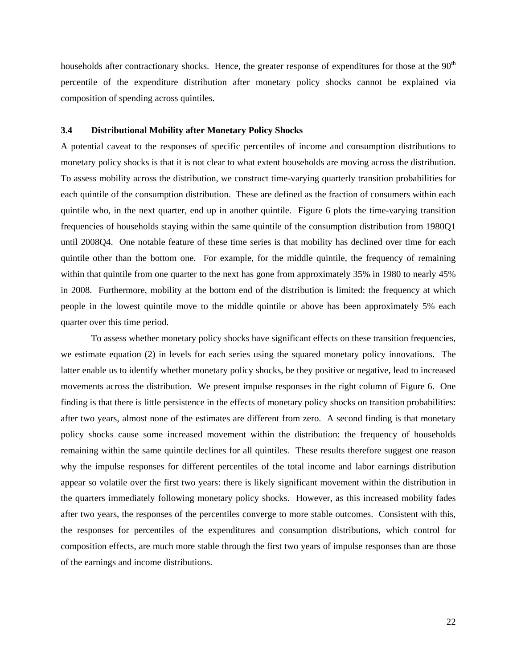households after contractionary shocks. Hence, the greater response of expenditures for those at the 90<sup>th</sup> percentile of the expenditure distribution after monetary policy shocks cannot be explained via composition of spending across quintiles.

### **3.4 Distributional Mobility after Monetary Policy Shocks**

A potential caveat to the responses of specific percentiles of income and consumption distributions to monetary policy shocks is that it is not clear to what extent households are moving across the distribution. To assess mobility across the distribution, we construct time-varying quarterly transition probabilities for each quintile of the consumption distribution. These are defined as the fraction of consumers within each quintile who, in the next quarter, end up in another quintile. Figure 6 plots the time-varying transition frequencies of households staying within the same quintile of the consumption distribution from 1980Q1 until 2008Q4. One notable feature of these time series is that mobility has declined over time for each quintile other than the bottom one. For example, for the middle quintile, the frequency of remaining within that quintile from one quarter to the next has gone from approximately 35% in 1980 to nearly 45% in 2008. Furthermore, mobility at the bottom end of the distribution is limited: the frequency at which people in the lowest quintile move to the middle quintile or above has been approximately 5% each quarter over this time period.

 To assess whether monetary policy shocks have significant effects on these transition frequencies, we estimate equation (2) in levels for each series using the squared monetary policy innovations. The latter enable us to identify whether monetary policy shocks, be they positive or negative, lead to increased movements across the distribution. We present impulse responses in the right column of Figure 6. One finding is that there is little persistence in the effects of monetary policy shocks on transition probabilities: after two years, almost none of the estimates are different from zero. A second finding is that monetary policy shocks cause some increased movement within the distribution: the frequency of households remaining within the same quintile declines for all quintiles. These results therefore suggest one reason why the impulse responses for different percentiles of the total income and labor earnings distribution appear so volatile over the first two years: there is likely significant movement within the distribution in the quarters immediately following monetary policy shocks. However, as this increased mobility fades after two years, the responses of the percentiles converge to more stable outcomes. Consistent with this, the responses for percentiles of the expenditures and consumption distributions, which control for composition effects, are much more stable through the first two years of impulse responses than are those of the earnings and income distributions.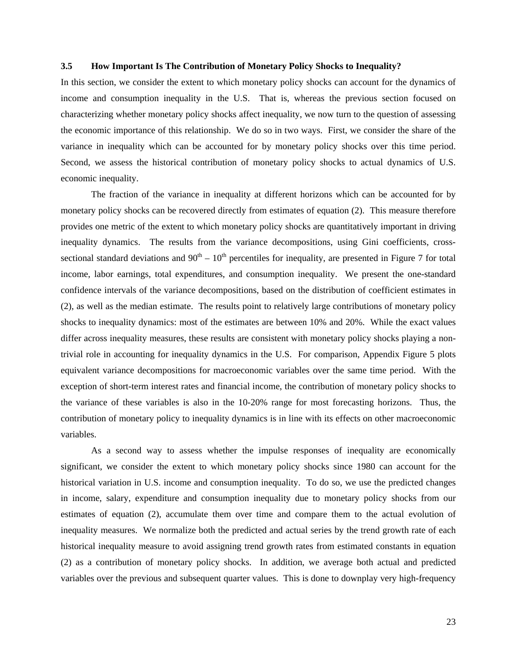#### **3.5 How Important Is The Contribution of Monetary Policy Shocks to Inequality?**

In this section, we consider the extent to which monetary policy shocks can account for the dynamics of income and consumption inequality in the U.S. That is, whereas the previous section focused on characterizing whether monetary policy shocks affect inequality, we now turn to the question of assessing the economic importance of this relationship. We do so in two ways. First, we consider the share of the variance in inequality which can be accounted for by monetary policy shocks over this time period. Second, we assess the historical contribution of monetary policy shocks to actual dynamics of U.S. economic inequality.

 The fraction of the variance in inequality at different horizons which can be accounted for by monetary policy shocks can be recovered directly from estimates of equation (2). This measure therefore provides one metric of the extent to which monetary policy shocks are quantitatively important in driving inequality dynamics. The results from the variance decompositions, using Gini coefficients, crosssectional standard deviations and  $90^{th} - 10^{th}$  percentiles for inequality, are presented in Figure 7 for total income, labor earnings, total expenditures, and consumption inequality. We present the one-standard confidence intervals of the variance decompositions, based on the distribution of coefficient estimates in (2), as well as the median estimate. The results point to relatively large contributions of monetary policy shocks to inequality dynamics: most of the estimates are between 10% and 20%. While the exact values differ across inequality measures, these results are consistent with monetary policy shocks playing a nontrivial role in accounting for inequality dynamics in the U.S. For comparison, Appendix Figure 5 plots equivalent variance decompositions for macroeconomic variables over the same time period. With the exception of short-term interest rates and financial income, the contribution of monetary policy shocks to the variance of these variables is also in the 10-20% range for most forecasting horizons. Thus, the contribution of monetary policy to inequality dynamics is in line with its effects on other macroeconomic variables.

As a second way to assess whether the impulse responses of inequality are economically significant, we consider the extent to which monetary policy shocks since 1980 can account for the historical variation in U.S. income and consumption inequality. To do so, we use the predicted changes in income, salary, expenditure and consumption inequality due to monetary policy shocks from our estimates of equation (2), accumulate them over time and compare them to the actual evolution of inequality measures. We normalize both the predicted and actual series by the trend growth rate of each historical inequality measure to avoid assigning trend growth rates from estimated constants in equation (2) as a contribution of monetary policy shocks. In addition, we average both actual and predicted variables over the previous and subsequent quarter values. This is done to downplay very high-frequency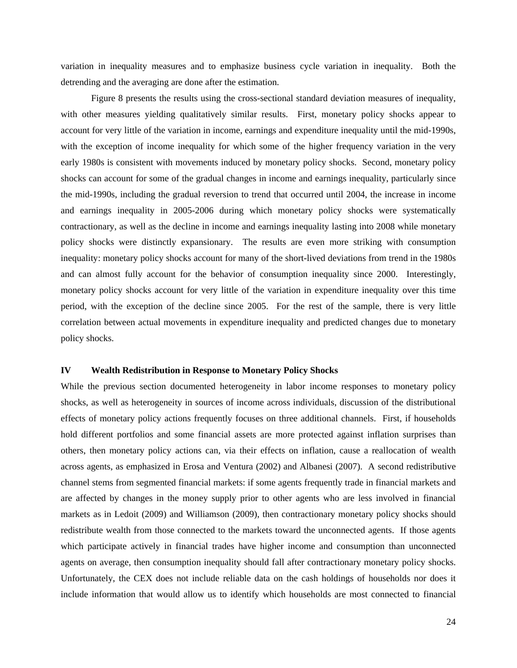variation in inequality measures and to emphasize business cycle variation in inequality. Both the detrending and the averaging are done after the estimation.

 Figure 8 presents the results using the cross-sectional standard deviation measures of inequality, with other measures yielding qualitatively similar results. First, monetary policy shocks appear to account for very little of the variation in income, earnings and expenditure inequality until the mid-1990s, with the exception of income inequality for which some of the higher frequency variation in the very early 1980s is consistent with movements induced by monetary policy shocks. Second, monetary policy shocks can account for some of the gradual changes in income and earnings inequality, particularly since the mid-1990s, including the gradual reversion to trend that occurred until 2004, the increase in income and earnings inequality in 2005-2006 during which monetary policy shocks were systematically contractionary, as well as the decline in income and earnings inequality lasting into 2008 while monetary policy shocks were distinctly expansionary. The results are even more striking with consumption inequality: monetary policy shocks account for many of the short-lived deviations from trend in the 1980s and can almost fully account for the behavior of consumption inequality since 2000. Interestingly, monetary policy shocks account for very little of the variation in expenditure inequality over this time period, with the exception of the decline since 2005. For the rest of the sample, there is very little correlation between actual movements in expenditure inequality and predicted changes due to monetary policy shocks.

#### **IV Wealth Redistribution in Response to Monetary Policy Shocks**

While the previous section documented heterogeneity in labor income responses to monetary policy shocks, as well as heterogeneity in sources of income across individuals, discussion of the distributional effects of monetary policy actions frequently focuses on three additional channels. First, if households hold different portfolios and some financial assets are more protected against inflation surprises than others, then monetary policy actions can, via their effects on inflation, cause a reallocation of wealth across agents, as emphasized in Erosa and Ventura (2002) and Albanesi (2007). A second redistributive channel stems from segmented financial markets: if some agents frequently trade in financial markets and are affected by changes in the money supply prior to other agents who are less involved in financial markets as in Ledoit (2009) and Williamson (2009), then contractionary monetary policy shocks should redistribute wealth from those connected to the markets toward the unconnected agents. If those agents which participate actively in financial trades have higher income and consumption than unconnected agents on average, then consumption inequality should fall after contractionary monetary policy shocks. Unfortunately, the CEX does not include reliable data on the cash holdings of households nor does it include information that would allow us to identify which households are most connected to financial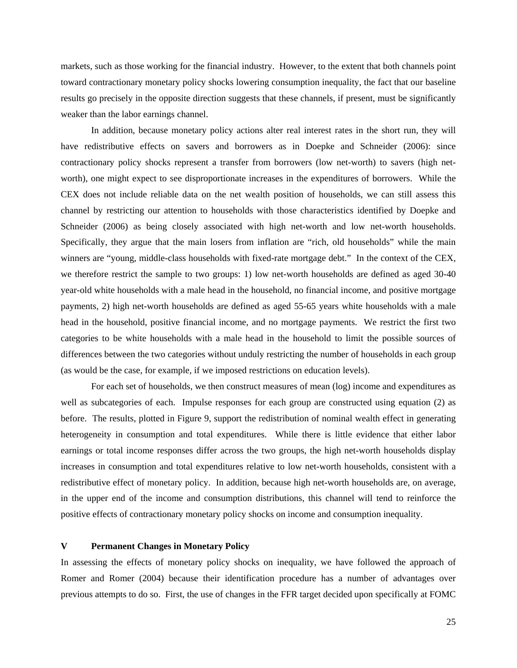markets, such as those working for the financial industry. However, to the extent that both channels point toward contractionary monetary policy shocks lowering consumption inequality, the fact that our baseline results go precisely in the opposite direction suggests that these channels, if present, must be significantly weaker than the labor earnings channel.

In addition, because monetary policy actions alter real interest rates in the short run, they will have redistributive effects on savers and borrowers as in Doepke and Schneider (2006): since contractionary policy shocks represent a transfer from borrowers (low net-worth) to savers (high networth), one might expect to see disproportionate increases in the expenditures of borrowers. While the CEX does not include reliable data on the net wealth position of households, we can still assess this channel by restricting our attention to households with those characteristics identified by Doepke and Schneider (2006) as being closely associated with high net-worth and low net-worth households. Specifically, they argue that the main losers from inflation are "rich, old households" while the main winners are "young, middle-class households with fixed-rate mortgage debt." In the context of the CEX, we therefore restrict the sample to two groups: 1) low net-worth households are defined as aged 30-40 year-old white households with a male head in the household, no financial income, and positive mortgage payments, 2) high net-worth households are defined as aged 55-65 years white households with a male head in the household, positive financial income, and no mortgage payments. We restrict the first two categories to be white households with a male head in the household to limit the possible sources of differences between the two categories without unduly restricting the number of households in each group (as would be the case, for example, if we imposed restrictions on education levels).

For each set of households, we then construct measures of mean (log) income and expenditures as well as subcategories of each. Impulse responses for each group are constructed using equation (2) as before. The results, plotted in Figure 9, support the redistribution of nominal wealth effect in generating heterogeneity in consumption and total expenditures. While there is little evidence that either labor earnings or total income responses differ across the two groups, the high net-worth households display increases in consumption and total expenditures relative to low net-worth households, consistent with a redistributive effect of monetary policy. In addition, because high net-worth households are, on average, in the upper end of the income and consumption distributions, this channel will tend to reinforce the positive effects of contractionary monetary policy shocks on income and consumption inequality.

#### **V Permanent Changes in Monetary Policy**

In assessing the effects of monetary policy shocks on inequality, we have followed the approach of Romer and Romer (2004) because their identification procedure has a number of advantages over previous attempts to do so. First, the use of changes in the FFR target decided upon specifically at FOMC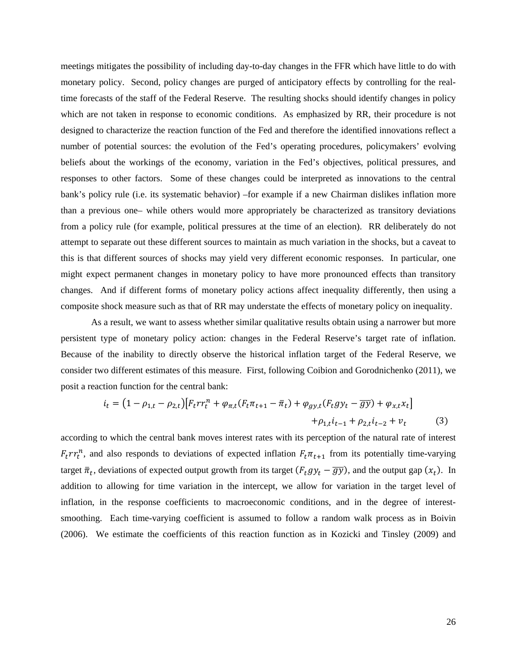meetings mitigates the possibility of including day-to-day changes in the FFR which have little to do with monetary policy. Second, policy changes are purged of anticipatory effects by controlling for the realtime forecasts of the staff of the Federal Reserve. The resulting shocks should identify changes in policy which are not taken in response to economic conditions. As emphasized by RR, their procedure is not designed to characterize the reaction function of the Fed and therefore the identified innovations reflect a number of potential sources: the evolution of the Fed's operating procedures, policymakers' evolving beliefs about the workings of the economy, variation in the Fed's objectives, political pressures, and responses to other factors. Some of these changes could be interpreted as innovations to the central bank's policy rule (i.e. its systematic behavior) –for example if a new Chairman dislikes inflation more than a previous one– while others would more appropriately be characterized as transitory deviations from a policy rule (for example, political pressures at the time of an election). RR deliberately do not attempt to separate out these different sources to maintain as much variation in the shocks, but a caveat to this is that different sources of shocks may yield very different economic responses. In particular, one might expect permanent changes in monetary policy to have more pronounced effects than transitory changes. And if different forms of monetary policy actions affect inequality differently, then using a composite shock measure such as that of RR may understate the effects of monetary policy on inequality.

 As a result, we want to assess whether similar qualitative results obtain using a narrower but more persistent type of monetary policy action: changes in the Federal Reserve's target rate of inflation. Because of the inability to directly observe the historical inflation target of the Federal Reserve, we consider two different estimates of this measure. First, following Coibion and Gorodnichenko (2011), we posit a reaction function for the central bank:

$$
i_t = (1 - \rho_{1,t} - \rho_{2,t}) [F_t r r_t^n + \varphi_{\pi,t} (F_t \pi_{t+1} - \bar{\pi}_t) + \varphi_{gy,t} (F_t g y_t - \bar{g} \bar{y}) + \varphi_{x,t} x_t] + \rho_{1,t} i_{t-1} + \rho_{2,t} i_{t-2} + v_t
$$
(3)

according to which the central bank moves interest rates with its perception of the natural rate of interest  $F_t r_t^n$ , and also responds to deviations of expected inflation  $F_t \pi_{t+1}$  from its potentially time-varying target  $\bar{\pi}_t$ , deviations of expected output growth from its target  $(F_t gy_t - \overline{gy})$ , and the output gap  $(x_t)$ . In addition to allowing for time variation in the intercept, we allow for variation in the target level of inflation, in the response coefficients to macroeconomic conditions, and in the degree of interestsmoothing. Each time-varying coefficient is assumed to follow a random walk process as in Boivin (2006). We estimate the coefficients of this reaction function as in Kozicki and Tinsley (2009) and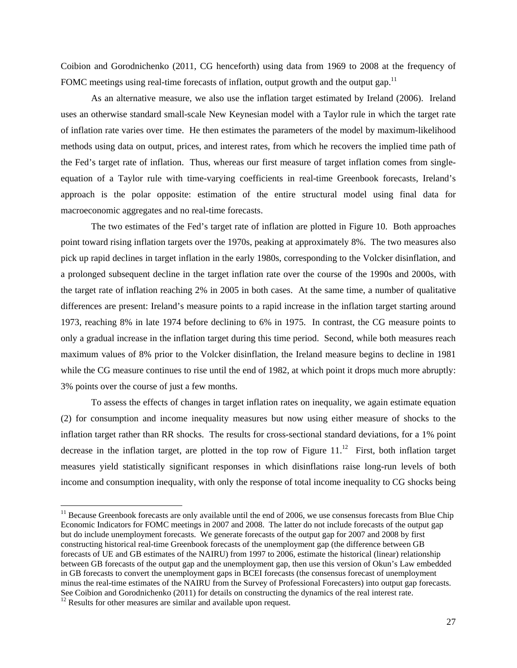Coibion and Gorodnichenko (2011, CG henceforth) using data from 1969 to 2008 at the frequency of FOMC meetings using real-time forecasts of inflation, output growth and the output gap.<sup>11</sup>

As an alternative measure, we also use the inflation target estimated by Ireland (2006). Ireland uses an otherwise standard small-scale New Keynesian model with a Taylor rule in which the target rate of inflation rate varies over time. He then estimates the parameters of the model by maximum-likelihood methods using data on output, prices, and interest rates, from which he recovers the implied time path of the Fed's target rate of inflation. Thus, whereas our first measure of target inflation comes from singleequation of a Taylor rule with time-varying coefficients in real-time Greenbook forecasts, Ireland's approach is the polar opposite: estimation of the entire structural model using final data for macroeconomic aggregates and no real-time forecasts.

 The two estimates of the Fed's target rate of inflation are plotted in Figure 10. Both approaches point toward rising inflation targets over the 1970s, peaking at approximately 8%. The two measures also pick up rapid declines in target inflation in the early 1980s, corresponding to the Volcker disinflation, and a prolonged subsequent decline in the target inflation rate over the course of the 1990s and 2000s, with the target rate of inflation reaching 2% in 2005 in both cases. At the same time, a number of qualitative differences are present: Ireland's measure points to a rapid increase in the inflation target starting around 1973, reaching 8% in late 1974 before declining to 6% in 1975. In contrast, the CG measure points to only a gradual increase in the inflation target during this time period. Second, while both measures reach maximum values of 8% prior to the Volcker disinflation, the Ireland measure begins to decline in 1981 while the CG measure continues to rise until the end of 1982, at which point it drops much more abruptly: 3% points over the course of just a few months.

 To assess the effects of changes in target inflation rates on inequality, we again estimate equation (2) for consumption and income inequality measures but now using either measure of shocks to the inflation target rather than RR shocks. The results for cross-sectional standard deviations, for a 1% point decrease in the inflation target, are plotted in the top row of Figure  $11<sup>12</sup>$  First, both inflation target measures yield statistically significant responses in which disinflations raise long-run levels of both income and consumption inequality, with only the response of total income inequality to CG shocks being

 $11$  Because Greenbook forecasts are only available until the end of 2006, we use consensus forecasts from Blue Chip Economic Indicators for FOMC meetings in 2007 and 2008. The latter do not include forecasts of the output gap but do include unemployment forecasts. We generate forecasts of the output gap for 2007 and 2008 by first constructing historical real-time Greenbook forecasts of the unemployment gap (the difference between GB forecasts of UE and GB estimates of the NAIRU) from 1997 to 2006, estimate the historical (linear) relationship between GB forecasts of the output gap and the unemployment gap, then use this version of Okun's Law embedded in GB forecasts to convert the unemployment gaps in BCEI forecasts (the consensus forecast of unemployment minus the real-time estimates of the NAIRU from the Survey of Professional Forecasters) into output gap forecasts. See Coibion and Gorodnichenko (2011) for details on constructing the dynamics of the real interest rate.  $12$  Results for other measures are similar and available upon request.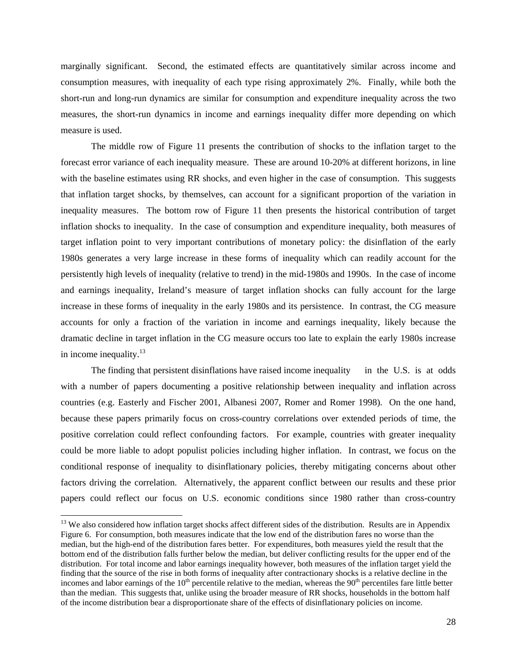marginally significant. Second, the estimated effects are quantitatively similar across income and consumption measures, with inequality of each type rising approximately 2%. Finally, while both the short-run and long-run dynamics are similar for consumption and expenditure inequality across the two measures, the short-run dynamics in income and earnings inequality differ more depending on which measure is used.

The middle row of Figure 11 presents the contribution of shocks to the inflation target to the forecast error variance of each inequality measure. These are around 10-20% at different horizons, in line with the baseline estimates using RR shocks, and even higher in the case of consumption. This suggests that inflation target shocks, by themselves, can account for a significant proportion of the variation in inequality measures. The bottom row of Figure 11 then presents the historical contribution of target inflation shocks to inequality. In the case of consumption and expenditure inequality, both measures of target inflation point to very important contributions of monetary policy: the disinflation of the early 1980s generates a very large increase in these forms of inequality which can readily account for the persistently high levels of inequality (relative to trend) in the mid-1980s and 1990s. In the case of income and earnings inequality, Ireland's measure of target inflation shocks can fully account for the large increase in these forms of inequality in the early 1980s and its persistence. In contrast, the CG measure accounts for only a fraction of the variation in income and earnings inequality, likely because the dramatic decline in target inflation in the CG measure occurs too late to explain the early 1980s increase in income inequality. $13$ 

 The finding that persistent disinflations have raised income inequality in the U.S. is at odds with a number of papers documenting a positive relationship between inequality and inflation across countries (e.g. Easterly and Fischer 2001, Albanesi 2007, Romer and Romer 1998). On the one hand, because these papers primarily focus on cross-country correlations over extended periods of time, the positive correlation could reflect confounding factors. For example, countries with greater inequality could be more liable to adopt populist policies including higher inflation. In contrast, we focus on the conditional response of inequality to disinflationary policies, thereby mitigating concerns about other factors driving the correlation. Alternatively, the apparent conflict between our results and these prior papers could reflect our focus on U.S. economic conditions since 1980 rather than cross-country

<sup>&</sup>lt;sup>13</sup> We also considered how inflation target shocks affect different sides of the distribution. Results are in Appendix Figure 6. For consumption, both measures indicate that the low end of the distribution fares no worse than the median, but the high-end of the distribution fares better. For expenditures, both measures yield the result that the bottom end of the distribution falls further below the median, but deliver conflicting results for the upper end of the distribution. For total income and labor earnings inequality however, both measures of the inflation target yield the finding that the source of the rise in both forms of inequality after contractionary shocks is a relative decline in the incomes and labor earnings of the  $10<sup>th</sup>$  percentile relative to the median, whereas the  $90<sup>th</sup>$  percentiles fare little better than the median. This suggests that, unlike using the broader measure of RR shocks, households in the bottom half of the income distribution bear a disproportionate share of the effects of disinflationary policies on income.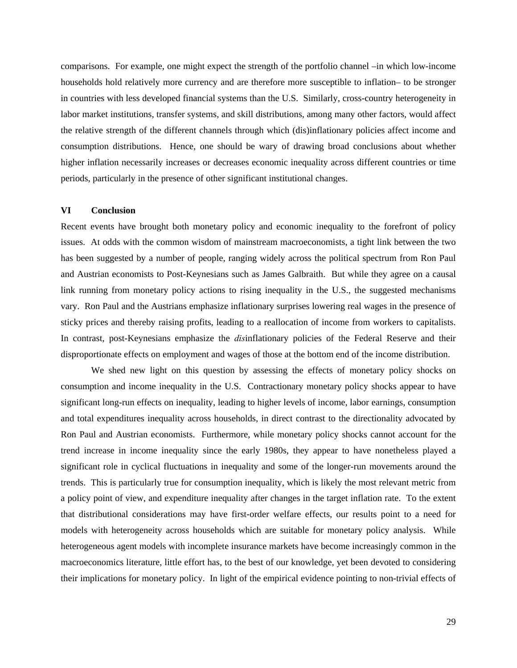comparisons. For example, one might expect the strength of the portfolio channel –in which low-income households hold relatively more currency and are therefore more susceptible to inflation– to be stronger in countries with less developed financial systems than the U.S. Similarly, cross-country heterogeneity in labor market institutions, transfer systems, and skill distributions, among many other factors, would affect the relative strength of the different channels through which (dis)inflationary policies affect income and consumption distributions. Hence, one should be wary of drawing broad conclusions about whether higher inflation necessarily increases or decreases economic inequality across different countries or time periods, particularly in the presence of other significant institutional changes.

#### **VI Conclusion**

Recent events have brought both monetary policy and economic inequality to the forefront of policy issues. At odds with the common wisdom of mainstream macroeconomists, a tight link between the two has been suggested by a number of people, ranging widely across the political spectrum from Ron Paul and Austrian economists to Post-Keynesians such as James Galbraith. But while they agree on a causal link running from monetary policy actions to rising inequality in the U.S., the suggested mechanisms vary. Ron Paul and the Austrians emphasize inflationary surprises lowering real wages in the presence of sticky prices and thereby raising profits, leading to a reallocation of income from workers to capitalists. In contrast, post-Keynesians emphasize the *dis*inflationary policies of the Federal Reserve and their disproportionate effects on employment and wages of those at the bottom end of the income distribution.

 We shed new light on this question by assessing the effects of monetary policy shocks on consumption and income inequality in the U.S. Contractionary monetary policy shocks appear to have significant long-run effects on inequality, leading to higher levels of income, labor earnings, consumption and total expenditures inequality across households, in direct contrast to the directionality advocated by Ron Paul and Austrian economists. Furthermore, while monetary policy shocks cannot account for the trend increase in income inequality since the early 1980s, they appear to have nonetheless played a significant role in cyclical fluctuations in inequality and some of the longer-run movements around the trends. This is particularly true for consumption inequality, which is likely the most relevant metric from a policy point of view, and expenditure inequality after changes in the target inflation rate. To the extent that distributional considerations may have first-order welfare effects, our results point to a need for models with heterogeneity across households which are suitable for monetary policy analysis. While heterogeneous agent models with incomplete insurance markets have become increasingly common in the macroeconomics literature, little effort has, to the best of our knowledge, yet been devoted to considering their implications for monetary policy. In light of the empirical evidence pointing to non-trivial effects of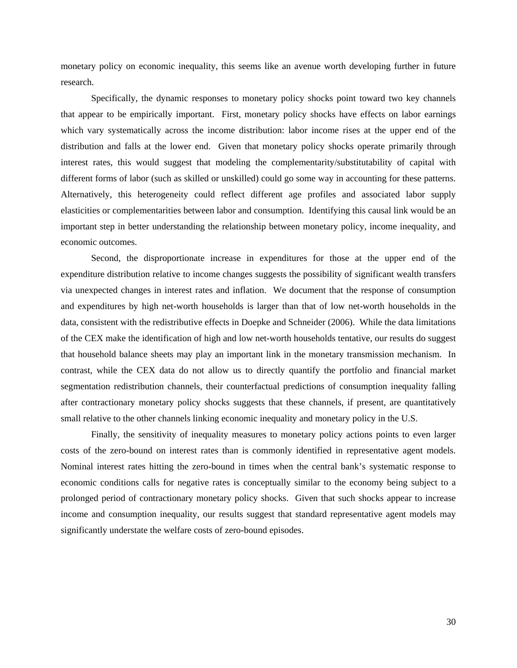monetary policy on economic inequality, this seems like an avenue worth developing further in future research.

 Specifically, the dynamic responses to monetary policy shocks point toward two key channels that appear to be empirically important. First, monetary policy shocks have effects on labor earnings which vary systematically across the income distribution: labor income rises at the upper end of the distribution and falls at the lower end. Given that monetary policy shocks operate primarily through interest rates, this would suggest that modeling the complementarity/substitutability of capital with different forms of labor (such as skilled or unskilled) could go some way in accounting for these patterns. Alternatively, this heterogeneity could reflect different age profiles and associated labor supply elasticities or complementarities between labor and consumption. Identifying this causal link would be an important step in better understanding the relationship between monetary policy, income inequality, and economic outcomes.

Second, the disproportionate increase in expenditures for those at the upper end of the expenditure distribution relative to income changes suggests the possibility of significant wealth transfers via unexpected changes in interest rates and inflation. We document that the response of consumption and expenditures by high net-worth households is larger than that of low net-worth households in the data, consistent with the redistributive effects in Doepke and Schneider (2006). While the data limitations of the CEX make the identification of high and low net-worth households tentative, our results do suggest that household balance sheets may play an important link in the monetary transmission mechanism. In contrast, while the CEX data do not allow us to directly quantify the portfolio and financial market segmentation redistribution channels, their counterfactual predictions of consumption inequality falling after contractionary monetary policy shocks suggests that these channels, if present, are quantitatively small relative to the other channels linking economic inequality and monetary policy in the U.S.

 Finally, the sensitivity of inequality measures to monetary policy actions points to even larger costs of the zero-bound on interest rates than is commonly identified in representative agent models. Nominal interest rates hitting the zero-bound in times when the central bank's systematic response to economic conditions calls for negative rates is conceptually similar to the economy being subject to a prolonged period of contractionary monetary policy shocks. Given that such shocks appear to increase income and consumption inequality, our results suggest that standard representative agent models may significantly understate the welfare costs of zero-bound episodes.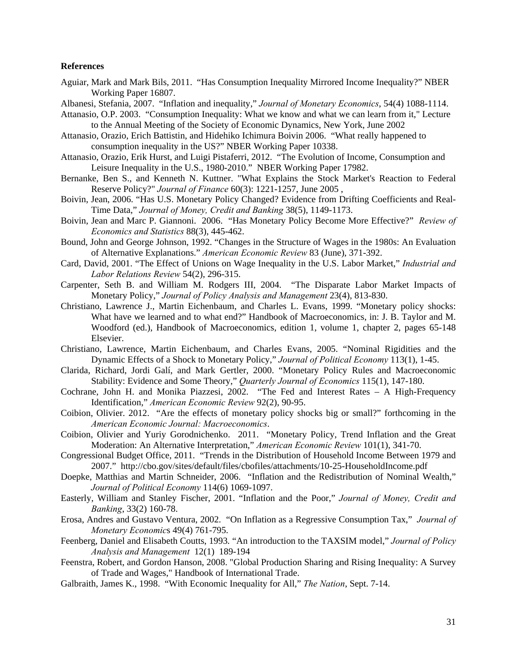#### **References**

- Aguiar, Mark and Mark Bils, 2011. "Has Consumption Inequality Mirrored Income Inequality?" NBER Working Paper 16807.
- Albanesi, Stefania, 2007. "Inflation and inequality," *Journal of Monetary Economics*, 54(4) 1088-1114.
- Attanasio, O.P. 2003. "Consumption Inequality: What we know and what we can learn from it," Lecture to the Annual Meeting of the Society of Economic Dynamics, New York, June 2002
- Attanasio, Orazio, Erich Battistin, and Hidehiko Ichimura Boivin 2006. "What really happened to consumption inequality in the US?" NBER Working Paper 10338.
- Attanasio, Orazio, Erik Hurst, and Luigi Pistaferri, 2012. "The Evolution of Income, Consumption and Leisure Inequality in the U.S., 1980-2010." NBER Working Paper 17982.
- Bernanke, Ben S., and Kenneth N. Kuttner. "What Explains the Stock Market's Reaction to Federal Reserve Policy?" *Journal of Finance* 60(3): 1221-1257, June 2005 ,
- Boivin, Jean, 2006. "Has U.S. Monetary Policy Changed? Evidence from Drifting Coefficients and Real-Time Data," *Journal of Money, Credit and Banking* 38(5), 1149-1173.
- Boivin, Jean and Marc P. Giannoni. 2006. "Has Monetary Policy Become More Effective?" *Review of Economics and Statistics* 88(3), 445-462.
- Bound, John and George Johnson, 1992. "Changes in the Structure of Wages in the 1980s: An Evaluation of Alternative Explanations." *American Economic Review* 83 (June), 371-392.
- Card, David, 2001. "The Effect of Unions on Wage Inequality in the U.S. Labor Market," *Industrial and Labor Relations Review* 54(2), 296-315.
- Carpenter, Seth B. and William M. Rodgers III, 2004. "The Disparate Labor Market Impacts of Monetary Policy," *Journal of Policy Analysis and Management* 23(4), 813-830.
- Christiano, Lawrence J., Martin Eichenbaum, and Charles L. Evans, 1999. "Monetary policy shocks: What have we learned and to what end?" Handbook of Macroeconomics, in: J. B. Taylor and M. Woodford (ed.), Handbook of Macroeconomics, edition 1, volume 1, chapter 2, pages 65-148 Elsevier.
- Christiano, Lawrence, Martin Eichenbaum, and Charles Evans, 2005. "Nominal Rigidities and the Dynamic Effects of a Shock to Monetary Policy," *Journal of Political Economy* 113(1), 1-45.
- Clarida, Richard, Jordi Galí, and Mark Gertler, 2000. "Monetary Policy Rules and Macroeconomic Stability: Evidence and Some Theory," *Quarterly Journal of Economics* 115(1), 147-180.
- Cochrane, John H. and Monika Piazzesi, 2002. "The Fed and Interest Rates A High-Frequency Identification," *American Economic Review* 92(2), 90-95.
- Coibion, Olivier. 2012. "Are the effects of monetary policy shocks big or small?" forthcoming in the *American Economic Journal: Macroeconomics*.
- Coibion, Olivier and Yuriy Gorodnichenko. 2011. "Monetary Policy, Trend Inflation and the Great Moderation: An Alternative Interpretation," *American Economic Review* 101(1), 341-70.
- Congressional Budget Office, 2011. "Trends in the Distribution of Household Income Between 1979 and 2007." http://cbo.gov/sites/default/files/cbofiles/attachments/10-25-HouseholdIncome.pdf
- Doepke, Matthias and Martin Schneider, 2006. "Inflation and the Redistribution of Nominal Wealth," *Journal of Political Economy* 114(6) 1069-1097.
- Easterly, William and Stanley Fischer, 2001. "Inflation and the Poor," *Journal of Money, Credit and Banking*, 33(2) 160-78.
- Erosa, Andres and Gustavo Ventura, 2002. "On Inflation as a Regressive Consumption Tax," *Journal of Monetary Economic*s 49(4) 761-795.
- Feenberg, Daniel and Elisabeth Coutts, 1993. "An introduction to the TAXSIM model," *Journal of Policy Analysis and Management* 12(1) 189-194
- Feenstra, Robert, and Gordon Hanson, 2008. "Global Production Sharing and Rising Inequality: A Survey of Trade and Wages," Handbook of International Trade.
- Galbraith, James K., 1998. "With Economic Inequality for All," *The Nation*, Sept. 7-14.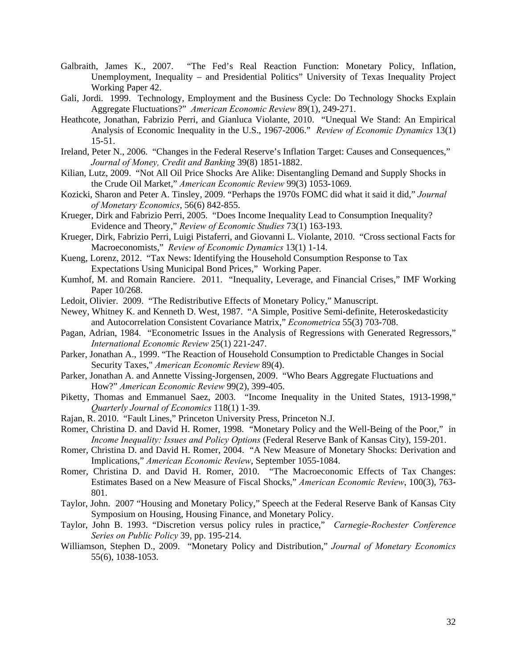- Galbraith, James K., 2007. "The Fed's Real Reaction Function: Monetary Policy, Inflation, Unemployment, Inequality – and Presidential Politics" University of Texas Inequality Project Working Paper 42.
- Gali, Jordi. 1999. Technology, Employment and the Business Cycle: Do Technology Shocks Explain Aggregate Fluctuations?" *American Economic Review* 89(1), 249-271.
- Heathcote, Jonathan, Fabrizio Perri, and Gianluca Violante, 2010. "Unequal We Stand: An Empirical Analysis of Economic Inequality in the U.S., 1967-2006." *Review of Economic Dynamics* 13(1) 15-51.
- Ireland, Peter N., 2006. "Changes in the Federal Reserve's Inflation Target: Causes and Consequences," *Journal of Money, Credit and Banking* 39(8) 1851-1882.
- Kilian, Lutz, 2009. "Not All Oil Price Shocks Are Alike: Disentangling Demand and Supply Shocks in the Crude Oil Market," *American Economic Review* 99(3) 1053-1069.
- Kozicki, Sharon and Peter A. Tinsley, 2009. "Perhaps the 1970s FOMC did what it said it did," *Journal of Monetary Economics*, 56(6) 842-855.
- Krueger, Dirk and Fabrizio Perri, 2005. "Does Income Inequality Lead to Consumption Inequality? Evidence and Theory," *Review of Economic Studies* 73(1) 163-193.
- Krueger, Dirk, Fabrizio Perri, Luigi Pistaferri, and Giovanni L. Violante, 2010. "Cross sectional Facts for Macroeconomists," *Review of Economic Dynamics* 13(1) 1-14.
- Kueng, Lorenz, 2012. "Tax News: Identifying the Household Consumption Response to Tax Expectations Using Municipal Bond Prices," Working Paper.
- Kumhof, M. and Romain Ranciere. 2011. "Inequality, Leverage, and Financial Crises," IMF Working Paper 10/268.
- Ledoit, Olivier. 2009. "The Redistributive Effects of Monetary Policy," Manuscript.
- Newey, Whitney K. and Kenneth D. West, 1987. "A Simple, Positive Semi-definite, Heteroskedasticity and Autocorrelation Consistent Covariance Matrix," *Econometrica* 55(3) 703-708.
- Pagan, Adrian, 1984. "Econometric Issues in the Analysis of Regressions with Generated Regressors," *International Economic Review* 25(1) 221-247.
- Parker, Jonathan A., 1999. "The Reaction of Household Consumption to Predictable Changes in Social Security Taxes," *American Economic Review* 89(4).
- Parker, Jonathan A. and Annette Vissing-Jorgensen, 2009. "Who Bears Aggregate Fluctuations and How?" *American Economic Review* 99(2), 399-405.
- Piketty, Thomas and Emmanuel Saez, 2003. "Income Inequality in the United States, 1913-1998," *Quarterly Journal of Economics* 118(1) 1-39.
- Rajan, R. 2010. "Fault Lines," Princeton University Press, Princeton N.J.
- Romer, Christina D. and David H. Romer, 1998. "Monetary Policy and the Well-Being of the Poor," in *Income Inequality: Issues and Policy Options* (Federal Reserve Bank of Kansas City), 159-201.
- Romer, Christina D. and David H. Romer, 2004. "A New Measure of Monetary Shocks: Derivation and Implications," *American Economic Review*, September 1055-1084.
- Romer, Christina D. and David H. Romer, 2010. "The Macroeconomic Effects of Tax Changes: Estimates Based on a New Measure of Fiscal Shocks," *American Economic Review*, 100(3), 763- 801.
- Taylor, John. 2007 "Housing and Monetary Policy," Speech at the Federal Reserve Bank of Kansas City Symposium on Housing, Housing Finance, and Monetary Policy.
- Taylor, John B. 1993. "Discretion versus policy rules in practice," *Carnegie-Rochester Conference Series on Public Policy* 39, pp. 195-214.
- Williamson, Stephen D., 2009. "Monetary Policy and Distribution," *Journal of Monetary Economics* 55(6), 1038-1053.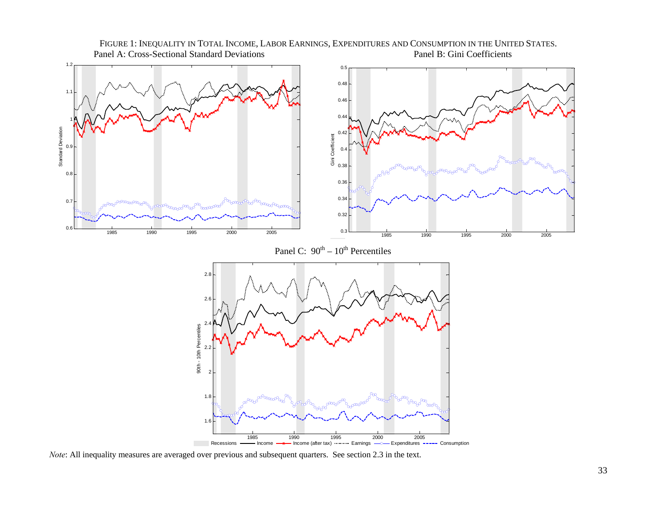

FIGURE 1: INEQUALITY IN TOTAL INCOME, LABOR EARNINGS, EXPENDITURES AND CONSUMPTION IN THE UNITED STATES. Panel A: Cross-Sectional Standard Deviations Panel B: Gini Coefficients

*Note*: All inequality measures are averaged over previous and subsequent quarters. See section 2.3 in the text.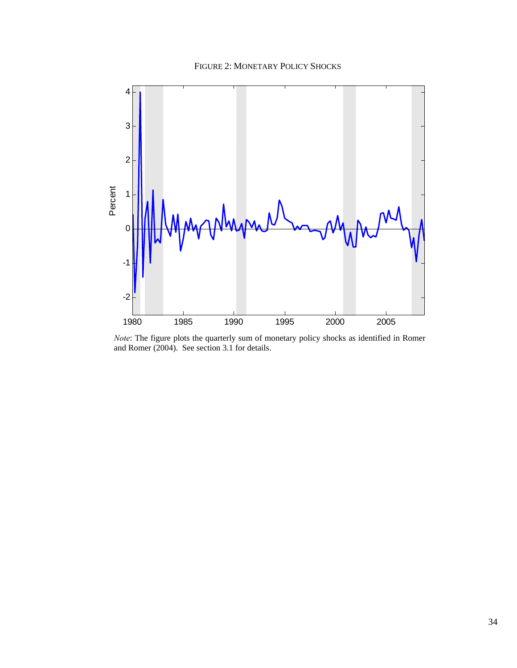### FIGURE 2: MONETARY POLICY SHOCKS



*Note*: The figure plots the quarterly sum of monetary policy shocks as identified in Romer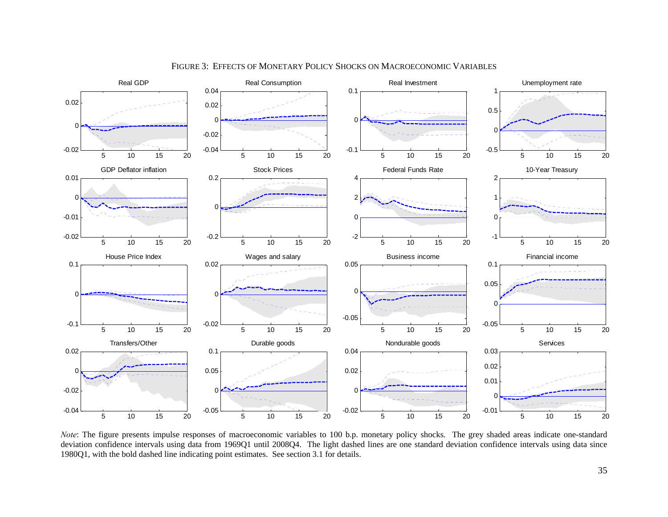

FIGURE 3: EFFECTS OF MONETARY POLICY SHOCKS ON MACROECONOMIC VARIABLES

*Note*: The figure presents impulse responses of macroeconomic variables to 100 b.p. monetary policy shocks. The grey shaded areas indicate one-standard deviation confidence intervals using data from 1969Q1 until 2008Q4. The light dashed lines are one standard deviation confidence intervals using data since 1980Q1, with the bold dashed line indicating point estimates. See section 3.1 for details.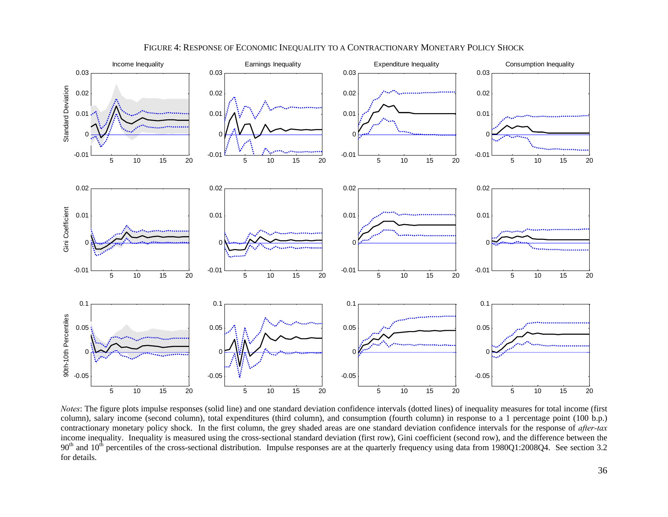

#### FIGURE 4: RESPONSE OF ECONOMIC INEQUALITY TO A CONTRACTIONARY MONETARY POLICY SHOCK

*Notes*: The figure plots impulse responses (solid line) and one standard deviation confidence intervals (dotted lines) of inequality measures for total income (first column), salary income (second column), total expenditures (third column), and consumption (fourth column) in response to a 1 percentage point (100 b.p.) contractionary monetary policy shock. In the first column, the grey shaded areas are one standard deviation confidence intervals for the response of *after-tax* income inequality. Inequality is measured using the cross-sectional standard deviation (first row), Gini coefficient (second row), and the difference between the  $90<sup>th</sup>$  and  $10<sup>th</sup>$  percentiles of the cross-sectional distribution. Impulse responses are at the quarterly frequency using data from 1980Q1:2008Q4. See section 3.2 for details.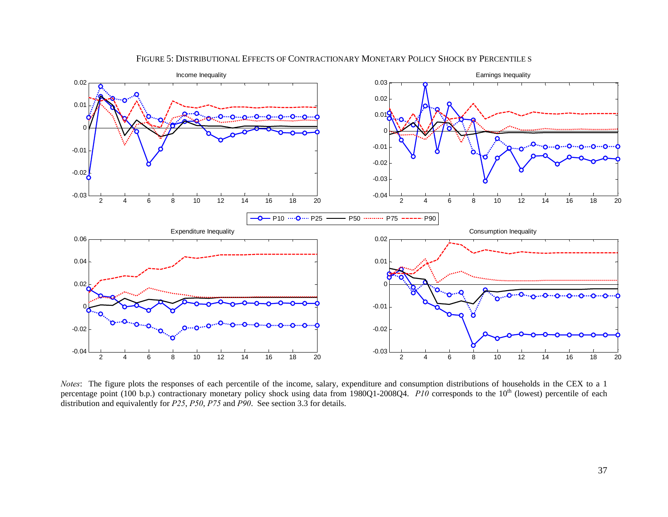

#### FIGURE 5: DISTRIBUTIONAL EFFECTS OF CONTRACTIONARY MONETARY POLICY SHOCK BY PERCENTILE S

*Notes*: The figure plots the responses of each percentile of the income, salary, expenditure and consumption distributions of households in the CEX to a 1 percentage point (100 b.p.) contractionary monetary policy shock using data from 1980Q1-2008Q4. *P10* corresponds to the 10<sup>th</sup> (lowest) percentile of each distribution and equivalently for *P25*, *P50*, *P75* and *P90*. See section 3.3 for details.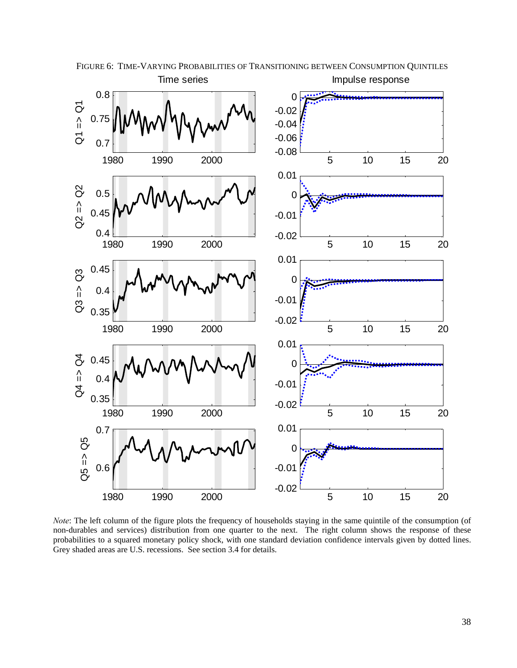

FIGURE 6: TIME-VARYING PROBABILITIES OF TRANSITIONING BETWEEN CONSUMPTION QUINTILES Impulse response Time series

*Note*: The left column of the figure plots the frequency of households staying in the same quintile of the consumption (of non-durables and services) distribution from one quarter to the next. The right column shows the response of these probabilities to a squared monetary policy shock, with one standard deviation confidence intervals given by dotted lines. Grey shaded areas are U.S. recessions. See section 3.4 for details.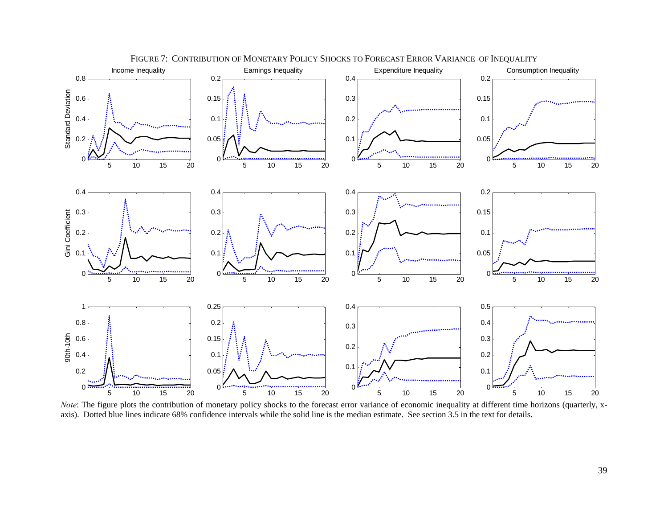

*Note*: The figure plots the contribution of monetary policy shocks to the forecast error variance of economic inequality at different time horizons (quarterly, xaxis). Dotted blue lines indicate 68% confidence intervals while the solid line is the median estimate. See section 3.5 in the text for details.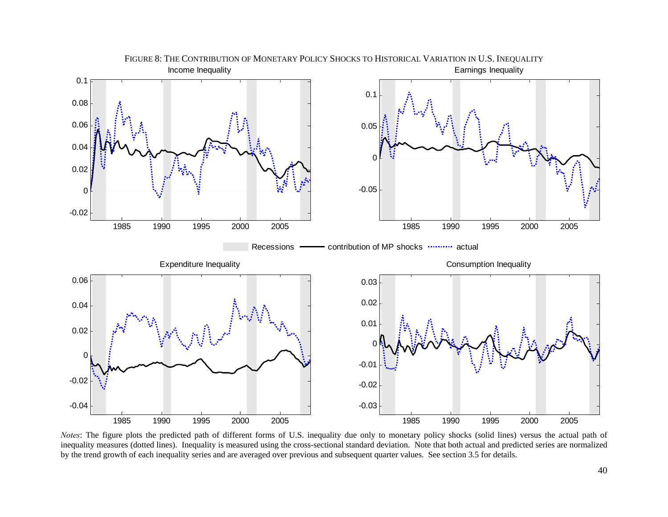

*Notes*: The figure plots the predicted path of different forms of U.S. inequality due only to monetary policy shocks (solid lines) versus the actual path of inequality measures (dotted lines). Inequality is measured using the cross-sectional standard deviation. Note that both actual and predicted series are normalized by the trend growth of each inequality series and are averaged over previous and subsequent quarter values. See section 3.5 for details.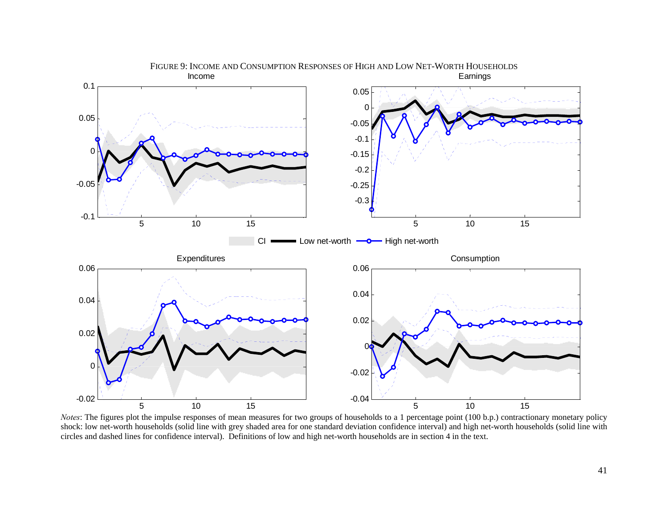

*Notes*: The figures plot the impulse responses of mean measures for two groups of households to a 1 percentage point (100 b.p.) contractionary monetary policy shock: low net-worth households (solid line with grey shaded area for one standard deviation confidence interval) and high net-worth households (solid line with circles and dashed lines for confidence interval). Definitions of low and high net-worth households are in section 4 in the text.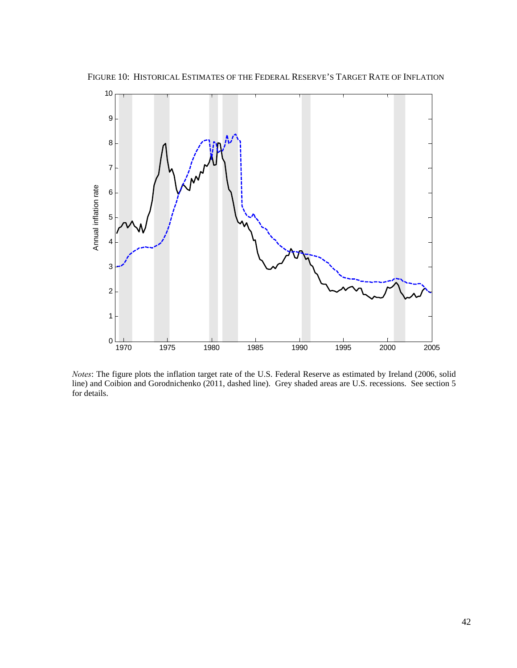

FIGURE 10: HISTORICAL ESTIMATES OF THE FEDERAL RESERVE'S TARGET RATE OF INFLATION

*Notes*: The figure plots the inflation target rate of the U.S. Federal Reserve as estimated by Ireland (2006, solid line) and Coibion and Gorodnichenko (2011, dashed line). Grey shaded areas are U.S. recessions. See section 5 for details.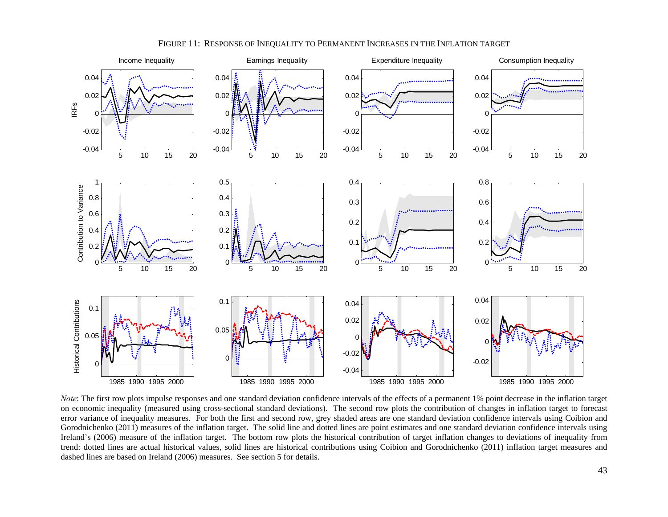

FIGURE 11: RESPONSE OF INEQUALITY TO PERMANENT INCREASES IN THE INFLATION TARGET

*Note*: The first row plots impulse responses and one standard deviation confidence intervals of the effects of a permanent 1% point decrease in the inflation target on economic inequality (measured using cross-sectional standard deviations). The second row plots the contribution of changes in inflation target to forecast error variance of inequality measures. For both the first and second row, grey shaded areas are one standard deviation confidence intervals using Coibion and Gorodnichenko (2011) measures of the inflation target. The solid line and dotted lines are point estimates and one standard deviation confidence intervals using Ireland's (2006) measure of the inflation target. The bottom row plots the historical contribution of target inflation changes to deviations of inequality from trend: dotted lines are actual historical values, solid lines are historical contributions using Coibion and Gorodnichenko (2011) inflation target measures and dashed lines are based on Ireland (2006) measures. See section 5 for details.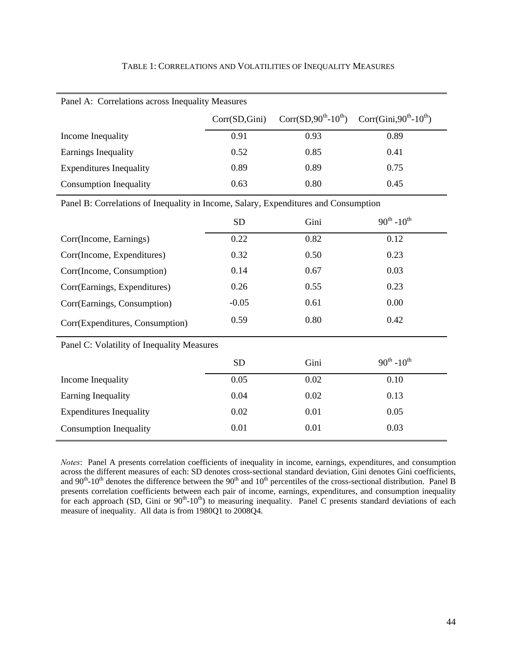| Panel A: Correlations across Inequality Measures                                    |                                                 |      |                                    |  |  |  |  |
|-------------------------------------------------------------------------------------|-------------------------------------------------|------|------------------------------------|--|--|--|--|
|                                                                                     | Corr $(SD, 90^{th} - 10^{th})$<br>Corr(SD,Gini) |      | Corr(Gini, $90^{th}$ - $10^{th}$ ) |  |  |  |  |
| Income Inequality                                                                   | 0.91                                            | 0.93 | 0.89                               |  |  |  |  |
| Earnings Inequality                                                                 | 0.52                                            | 0.85 | 0.41                               |  |  |  |  |
| <b>Expenditures Inequality</b>                                                      | 0.89                                            | 0.89 | 0.75                               |  |  |  |  |
| <b>Consumption Inequality</b>                                                       | 0.63                                            | 0.80 | 0.45                               |  |  |  |  |
| Panel B: Correlations of Inequality in Income, Salary, Expenditures and Consumption |                                                 |      |                                    |  |  |  |  |
|                                                                                     | <b>SD</b>                                       | Gini | $90^{th}$ -10 <sup>th</sup>        |  |  |  |  |
| Corr(Income, Earnings)                                                              | 0.22                                            | 0.82 | 0.12                               |  |  |  |  |
| Corr(Income, Expenditures)                                                          | 0.32                                            | 0.50 | 0.23                               |  |  |  |  |
| Corr(Income, Consumption)                                                           | 0.14                                            | 0.67 | 0.03                               |  |  |  |  |
| Corr(Earnings, Expenditures)                                                        | 0.26                                            | 0.55 | 0.23                               |  |  |  |  |
| Corr(Earnings, Consumption)                                                         | $-0.05$                                         | 0.61 | 0.00                               |  |  |  |  |
| Corr(Expenditures, Consumption)                                                     | 0.59                                            | 0.80 | 0.42                               |  |  |  |  |
| Panel C: Volatility of Inequality Measures                                          |                                                 |      |                                    |  |  |  |  |
|                                                                                     | <b>SD</b>                                       | Gini | $90^{th}$ -10 <sup>th</sup>        |  |  |  |  |
| Income Inequality                                                                   | 0.05                                            | 0.02 | 0.10                               |  |  |  |  |
| Earning Inequality                                                                  | 0.04                                            | 0.02 | 0.13                               |  |  |  |  |
| <b>Expenditures Inequality</b>                                                      | 0.02                                            | 0.01 | 0.05                               |  |  |  |  |
| <b>Consumption Inequality</b>                                                       | 0.01                                            | 0.01 | 0.03                               |  |  |  |  |

*Notes*: Panel A presents correlation coefficients of inequality in income, earnings, expenditures, and consumption across the different measures of each: SD denotes cross-sectional standard deviation, Gini denotes Gini coefficients, and  $90<sup>th</sup>$ -10<sup>th</sup> denotes the difference between the  $90<sup>th</sup>$  and  $10<sup>th</sup>$  percentiles of the cross-sectional distribution. Panel B presents correlation coefficients between each pair of income, earnings, expenditures, and consumption inequality for each approach (SD, Gini or 90<sup>th</sup>-10<sup>th</sup>) to measuring inequality. Panel C presents standard deviations of each measure of inequality. All data is from 1980Q1 to 2008Q4.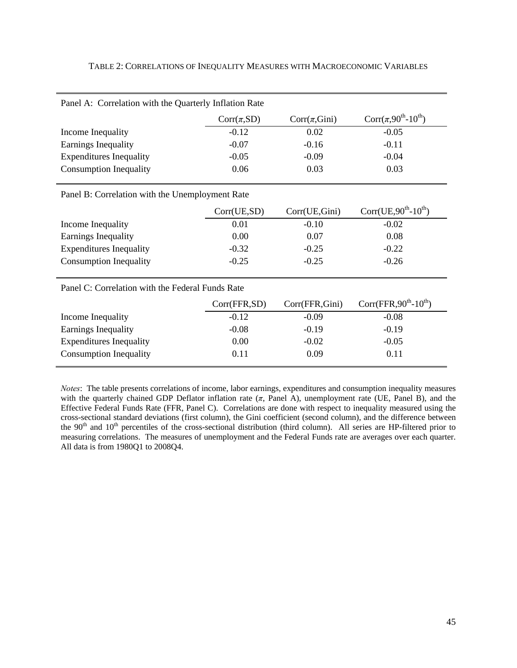| Panel A: Correlation with the Quarterly Inflation Rate |                 |                   |                                               |  |  |  |
|--------------------------------------------------------|-----------------|-------------------|-----------------------------------------------|--|--|--|
|                                                        | $Corr(\pi, SD)$ | $Corr(\pi, Gini)$ | Corr $(\pi, 90^{\text{th}} - 10^{\text{th}})$ |  |  |  |
| Income Inequality                                      | $-0.12$         | 0.02              | $-0.05$                                       |  |  |  |
| Earnings Inequality                                    | $-0.07$         | $-0.16$           | $-0.11$                                       |  |  |  |
| <b>Expenditures Inequality</b>                         | $-0.05$         | $-0.09$           | $-0.04$                                       |  |  |  |
| <b>Consumption Inequality</b>                          | 0.06            | 0.03              | 0.03                                          |  |  |  |

#### TABLE 2: CORRELATIONS OF INEQUALITY MEASURES WITH MACROECONOMIC VARIABLES

Panel B: Correlation with the Unemployment Rate

|                                | Corr(UE, SD) | Corr(UE,Gini) | Corr(UE, $90^{th}$ - $10^{th}$ ) |
|--------------------------------|--------------|---------------|----------------------------------|
| Income Inequality              | 0.01         | $-0.10$       | $-0.02$                          |
| Earnings Inequality            | 0.00         | 0.07          | 0.08                             |
| <b>Expenditures Inequality</b> | $-0.32$      | $-0.25$       | $-0.22$                          |
| <b>Consumption Inequality</b>  | $-0.25$      | $-0.25$       | $-0.26$                          |

Panel C: Correlation with the Federal Funds Rate

|                                | Corr(FFR, SD) | Corr(FFR,Gini) | Corr(FFR, $90^{\text{th}}$ - $10^{\text{th}}$ ) |  |
|--------------------------------|---------------|----------------|-------------------------------------------------|--|
| Income Inequality              | $-0.12$       | $-0.09$        | $-0.08$                                         |  |
| Earnings Inequality            | $-0.08$       | $-0.19$        | $-0.19$                                         |  |
| <b>Expenditures Inequality</b> | 0.00          | $-0.02$        | $-0.05$                                         |  |
| <b>Consumption Inequality</b>  | 0.11          | 0.09           | 0.11                                            |  |
|                                |               |                |                                                 |  |

*Notes*: The table presents correlations of income, labor earnings, expenditures and consumption inequality measures with the quarterly chained GDP Deflator inflation rate (*π*, Panel A), unemployment rate (UE, Panel B), and the Effective Federal Funds Rate (FFR, Panel C). Correlations are done with respect to inequality measured using the cross-sectional standard deviations (first column), the Gini coefficient (second column), and the difference between the 90<sup>th</sup> and 10<sup>th</sup> percentiles of the cross-sectional distribution (third column). All series are HP-filtered prior to measuring correlations. The measures of unemployment and the Federal Funds rate are averages over each quarter. All data is from 1980Q1 to 2008Q4.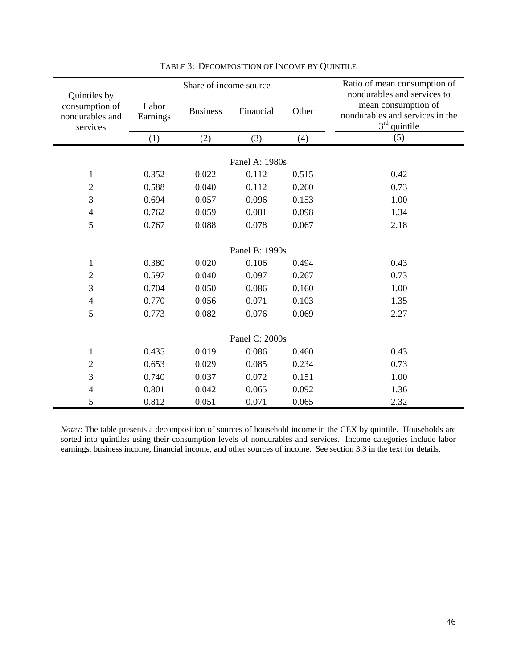|                                                               |                   | Share of income source |                |       | Ratio of mean consumption of<br>nondurables and services to<br>mean consumption of<br>nondurables and services in the<br>$3rd$ quintile |  |  |  |
|---------------------------------------------------------------|-------------------|------------------------|----------------|-------|-----------------------------------------------------------------------------------------------------------------------------------------|--|--|--|
| Quintiles by<br>consumption of<br>nondurables and<br>services | Labor<br>Earnings | <b>Business</b>        | Financial      | Other |                                                                                                                                         |  |  |  |
|                                                               | (1)               | (2)                    | (3)            | (4)   | (5)                                                                                                                                     |  |  |  |
|                                                               |                   |                        |                |       |                                                                                                                                         |  |  |  |
|                                                               |                   |                        | Panel A: 1980s |       |                                                                                                                                         |  |  |  |
| $\mathbf{1}$                                                  | 0.352             | 0.022                  | 0.112          | 0.515 | 0.42                                                                                                                                    |  |  |  |
| $\sqrt{2}$                                                    | 0.588             | 0.040                  | 0.112          | 0.260 | 0.73                                                                                                                                    |  |  |  |
| 3                                                             | 0.694             | 0.057                  | 0.096          | 0.153 | 1.00                                                                                                                                    |  |  |  |
| $\overline{4}$                                                | 0.762             | 0.059                  | 0.081          | 0.098 | 1.34                                                                                                                                    |  |  |  |
| 5                                                             | 0.767             | 0.088                  | 0.078          | 0.067 | 2.18                                                                                                                                    |  |  |  |
|                                                               |                   |                        |                |       |                                                                                                                                         |  |  |  |
|                                                               |                   |                        | Panel B: 1990s |       |                                                                                                                                         |  |  |  |
| $\mathbf{1}$                                                  | 0.380             | 0.020                  | 0.106          | 0.494 | 0.43                                                                                                                                    |  |  |  |
| $\sqrt{2}$                                                    | 0.597             | 0.040                  | 0.097          | 0.267 | 0.73                                                                                                                                    |  |  |  |
| 3                                                             | 0.704             | 0.050                  | 0.086          | 0.160 | 1.00                                                                                                                                    |  |  |  |
| $\overline{4}$                                                | 0.770             | 0.056                  | 0.071          | 0.103 | 1.35                                                                                                                                    |  |  |  |
| 5                                                             | 0.773             | 0.082                  | 0.076          | 0.069 | 2.27                                                                                                                                    |  |  |  |
|                                                               |                   |                        |                |       |                                                                                                                                         |  |  |  |
| Panel C: 2000s                                                |                   |                        |                |       |                                                                                                                                         |  |  |  |
| $\mathbf{1}$                                                  | 0.435             | 0.019                  | 0.086          | 0.460 | 0.43                                                                                                                                    |  |  |  |
| $\mathfrak{2}$                                                | 0.653             | 0.029                  | 0.085          | 0.234 | 0.73                                                                                                                                    |  |  |  |
| 3                                                             | 0.740             | 0.037                  | 0.072          | 0.151 | 1.00                                                                                                                                    |  |  |  |
| $\overline{4}$                                                | 0.801             | 0.042                  | 0.065          | 0.092 | 1.36                                                                                                                                    |  |  |  |
| 5                                                             | 0.812             | 0.051                  | 0.071          | 0.065 | 2.32                                                                                                                                    |  |  |  |

### TABLE 3: DECOMPOSITION OF INCOME BY QUINTILE

*Notes*: The table presents a decomposition of sources of household income in the CEX by quintile. Households are sorted into quintiles using their consumption levels of nondurables and services. Income categories include labor earnings, business income, financial income, and other sources of income. See section 3.3 in the text for details.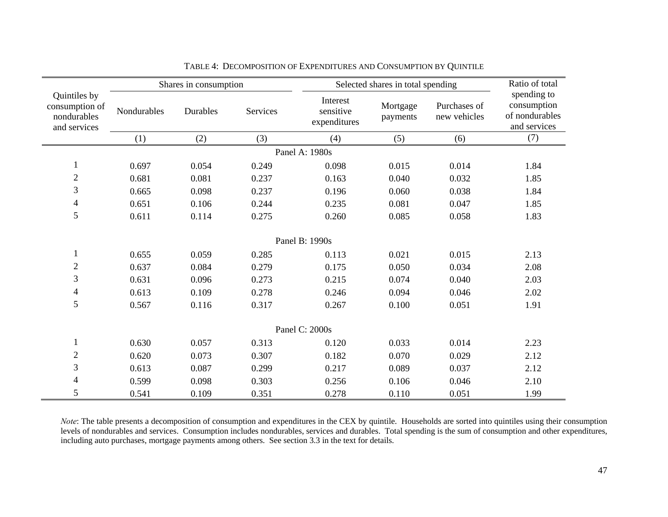|                                                               | Shares in consumption |          |          | Selected shares in total spending     |                      |                              |                                                              |
|---------------------------------------------------------------|-----------------------|----------|----------|---------------------------------------|----------------------|------------------------------|--------------------------------------------------------------|
| Quintiles by<br>consumption of<br>nondurables<br>and services | Nondurables           | Durables | Services | Interest<br>sensitive<br>expenditures | Mortgage<br>payments | Purchases of<br>new vehicles | spending to<br>consumption<br>of nondurables<br>and services |
|                                                               | (1)                   | (2)      | (3)      | (4)                                   | (5)                  | (6)                          | (7)                                                          |
|                                                               |                       |          |          | Panel A: 1980s                        |                      |                              |                                                              |
| $\mathbf{1}$                                                  | 0.697                 | 0.054    | 0.249    | 0.098                                 | 0.015                | 0.014                        | 1.84                                                         |
| $\mathbf{2}$                                                  | 0.681                 | 0.081    | 0.237    | 0.163                                 | 0.040                | 0.032                        | 1.85                                                         |
| 3                                                             | 0.665                 | 0.098    | 0.237    | 0.196                                 | 0.060                | 0.038                        | 1.84                                                         |
| $\overline{\mathcal{A}}$                                      | 0.651                 | 0.106    | 0.244    | 0.235                                 | 0.081                | 0.047                        | 1.85                                                         |
| 5                                                             | 0.611                 | 0.114    | 0.275    | 0.260                                 | 0.085                | 0.058                        | 1.83                                                         |
|                                                               |                       |          |          |                                       |                      |                              |                                                              |
|                                                               |                       |          |          | Panel B: 1990s                        |                      |                              |                                                              |
| $\mathbf{1}$                                                  | 0.655                 | 0.059    | 0.285    | 0.113                                 | 0.021                | 0.015                        | 2.13                                                         |
| $\mathbf{2}$                                                  | 0.637                 | 0.084    | 0.279    | 0.175                                 | 0.050                | 0.034                        | 2.08                                                         |
| 3                                                             | 0.631                 | 0.096    | 0.273    | 0.215                                 | 0.074                | 0.040                        | 2.03                                                         |
| $\overline{4}$                                                | 0.613                 | 0.109    | 0.278    | 0.246                                 | 0.094                | 0.046                        | 2.02                                                         |
| 5                                                             | 0.567                 | 0.116    | 0.317    | 0.267                                 | 0.100                | 0.051                        | 1.91                                                         |
|                                                               |                       |          |          |                                       |                      |                              |                                                              |
|                                                               |                       |          |          | Panel C: 2000s                        |                      |                              |                                                              |
| $\mathbf{1}$                                                  | 0.630                 | 0.057    | 0.313    | 0.120                                 | 0.033                | 0.014                        | 2.23                                                         |
| $\sqrt{2}$                                                    | 0.620                 | 0.073    | 0.307    | 0.182                                 | 0.070                | 0.029                        | 2.12                                                         |
| 3                                                             | 0.613                 | 0.087    | 0.299    | 0.217                                 | 0.089                | 0.037                        | 2.12                                                         |
| 4                                                             | 0.599                 | 0.098    | 0.303    | 0.256                                 | 0.106                | 0.046                        | 2.10                                                         |
| 5                                                             | 0.541                 | 0.109    | 0.351    | 0.278                                 | 0.110                | 0.051                        | 1.99                                                         |

TABLE 4: DECOMPOSITION OF EXPENDITURES AND CONSUMPTION BY QUINTILE

*Note*: The table presents a decomposition of consumption and expenditures in the CEX by quintile. Households are sorted into quintiles using their consumption levels of nondurables and services. Consumption includes nondurables, services and durables. Total spending is the sum of consumption and other expenditures, including auto purchases, mortgage payments among others. See section 3.3 in the text for details.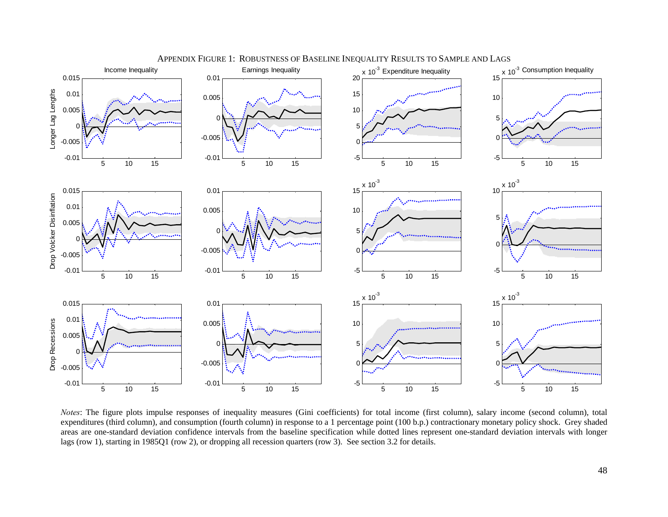

APPENDIX FIGURE 1: ROBUSTNESS OF BASELINE INEQUALITY RESULTS TO SAMPLE AND LAGS

*Notes*: The figure plots impulse responses of inequality measures (Gini coefficients) for total income (first column), salary income (second column), total expenditures (third column), and consumption (fourth column) in response to a 1 percentage point (100 b.p.) contractionary monetary policy shock. Grey shaded areas are one-standard deviation confidence intervals from the baseline specification while dotted lines represent one-standard deviation intervals with longer lags (row 1), starting in 1985Q1 (row 2), or dropping all recession quarters (row 3). See section 3.2 for details.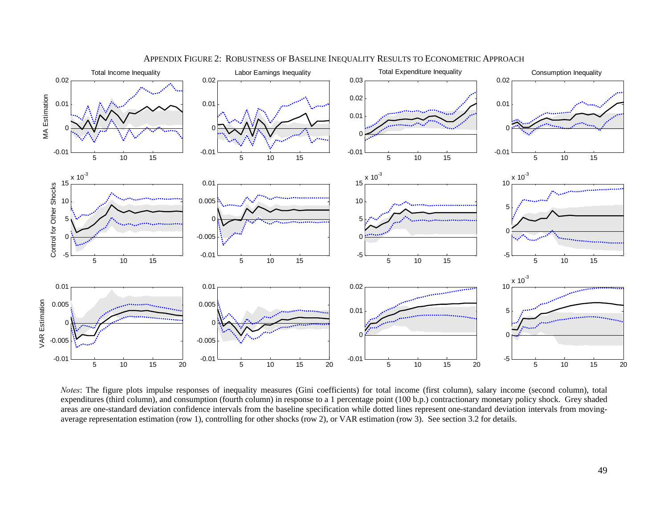

APPENDIX FIGURE 2: ROBUSTNESS OF BASELINE INEQUALITY RESULTS TO ECONOMETRIC APPROACH

*Notes*: The figure plots impulse responses of inequality measures (Gini coefficients) for total income (first column), salary income (second column), total expenditures (third column), and consumption (fourth column) in response to a 1 percentage point (100 b.p.) contractionary monetary policy shock. Grey shaded areas are one-standard deviation confidence intervals from the baseline specification while dotted lines represent one-standard deviation intervals from movingaverage representation estimation (row 1), controlling for other shocks (row 2), or VAR estimation (row 3). See section 3.2 for details.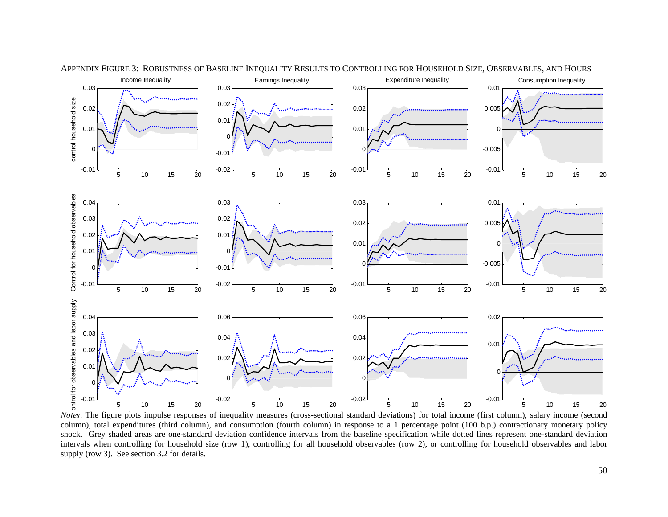

APPENDIX FIGURE 3: ROBUSTNESS OF BASELINE INEQUALITY RESULTS TO CONTROLLING FOR HOUSEHOLD SIZE, OBSERVABLES, AND HOURS

*Notes*: The figure plots impulse responses of inequality measures (cross-sectional standard deviations) for total income (first column), salary income (second column), total expenditures (third column), and consumption (fourth column) in response to a 1 percentage point (100 b.p.) contractionary monetary policy shock. Grey shaded areas are one-standard deviation confidence intervals from the baseline specification while dotted lines represent one-standard deviation intervals when controlling for household size (row 1), controlling for all household observables (row 2), or controlling for household observables and labor supply (row 3). See section 3.2 for details.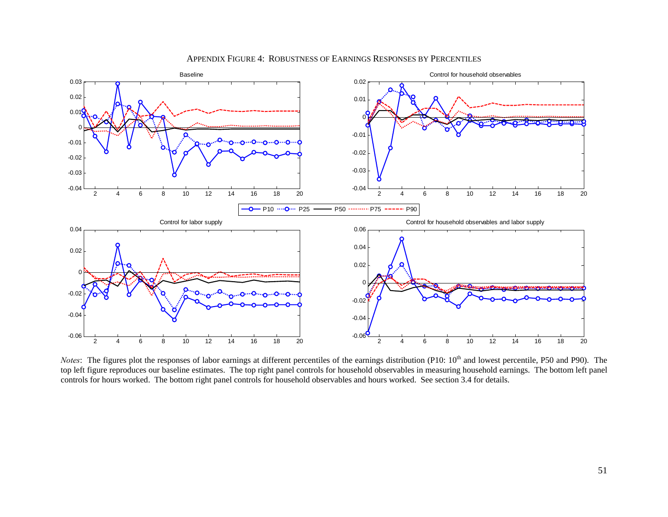

#### APPENDIX FIGURE 4: ROBUSTNESS OF EARNINGS RESPONSES BY PERCENTILES

*Notes*: The figures plot the responses of labor earnings at different percentiles of the earnings distribution (P10: 10<sup>th</sup> and lowest percentile, P50 and P90). The top left figure reproduces our baseline estimates. The top right panel controls for household observables in measuring household earnings. The bottom left panel controls for hours worked. The bottom right panel controls for household observables and hours worked. See section 3.4 for details.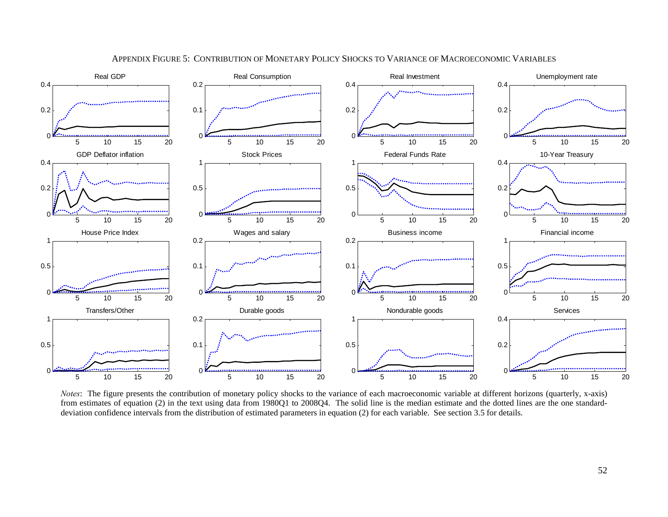

#### APPENDIX FIGURE 5: CONTRIBUTION OF MONETARY POLICY SHOCKS TO VARIANCE OF MACROECONOMIC VARIABLES

*Notes*: The figure presents the contribution of monetary policy shocks to the variance of each macroeconomic variable at different horizons (quarterly, x-axis) from estimates of equation (2) in the text using data from 1980Q1 to 2008Q4. The solid line is the median estimate and the dotted lines are the one standarddeviation confidence intervals from the distribution of estimated parameters in equation (2) for each variable. See section 3.5 for details.